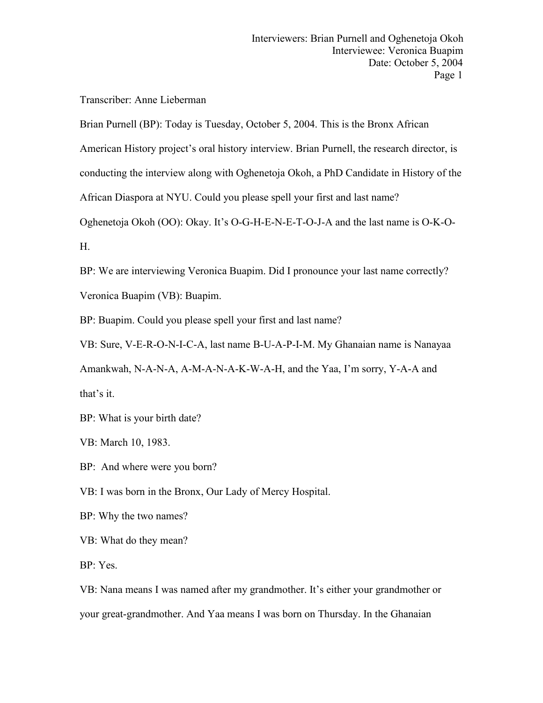Transcriber: Anne Lieberman

Brian Purnell (BP): Today is Tuesday, October 5, 2004. This is the Bronx African

American History project's oral history interview. Brian Purnell, the research director, is

conducting the interview along with Oghenetoja Okoh, a PhD Candidate in History of the

African Diaspora at NYU. Could you please spell your first and last name?

Oghenetoja Okoh (OO): Okay. It's O-G-H-E-N-E-T-O-J-A and the last name is O-K-O-

H.

BP: We are interviewing Veronica Buapim. Did I pronounce your last name correctly? Veronica Buapim (VB): Buapim.

BP: Buapim. Could you please spell your first and last name?

VB: Sure, V-E-R-O-N-I-C-A, last name B-U-A-P-I-M. My Ghanaian name is Nanayaa

Amankwah, N-A-N-A, A-M-A-N-A-K-W-A-H, and the Yaa, I'm sorry, Y-A-A and that's it.

BP: What is your birth date?

VB: March 10, 1983.

BP: And where were you born?

VB: I was born in the Bronx, Our Lady of Mercy Hospital.

BP: Why the two names?

VB: What do they mean?

BP: Yes.

VB: Nana means I was named after my grandmother. It's either your grandmother or your great-grandmother. And Yaa means I was born on Thursday. In the Ghanaian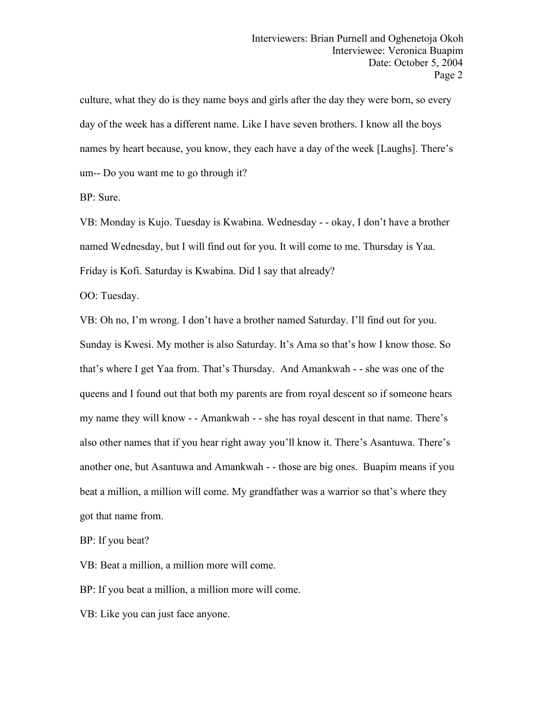culture, what they do is they name boys and girls after the day they were born, so every day of the week has a different name. Like I have seven brothers. I know all the boys names by heart because, you know, they each have a day of the week [Laughs]. There's um-- Do you want me to go through it?

BP: Sure.

VB: Monday is Kujo. Tuesday is Kwabina. Wednesday - - okay, I don't have a brother named Wednesday, but I will find out for you. It will come to me. Thursday is Yaa. Friday is Kofi. Saturday is Kwabina. Did I say that already?

OO: Tuesday.

VB: Oh no, I'm wrong. I don't have a brother named Saturday. I'll find out for you. Sunday is Kwesi. My mother is also Saturday. It's Ama so that's how I know those. So that's where I get Yaa from. That's Thursday. And Amankwah - - she was one of the queens and I found out that both my parents are from royal descent so if someone hears my name they will know - - Amankwah - - she has royal descent in that name. There's also other names that if you hear right away you'll know it. There's Asantuwa. There's another one, but Asantuwa and Amankwah - - those are big ones. Buapim means if you beat a million, a million will come. My grandfather was a warrior so that's where they got that name from.

BP: If you beat?

VB: Beat a million, a million more will come.

BP: If you beat a million, a million more will come.

VB: Like you can just face anyone.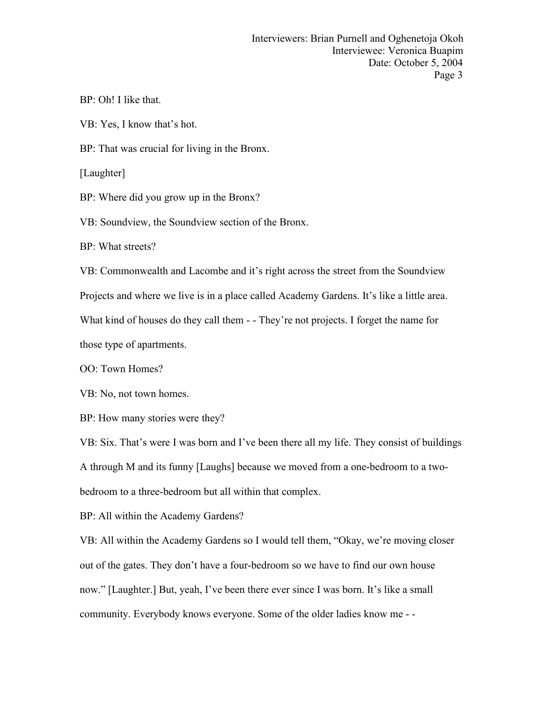BP: Oh! I like that.

VB: Yes, I know that's hot.

BP: That was crucial for living in the Bronx.

[Laughter]

BP: Where did you grow up in the Bronx?

VB: Soundview, the Soundview section of the Bronx.

BP: What streets?

VB: Commonwealth and Lacombe and it's right across the street from the Soundview

Projects and where we live is in a place called Academy Gardens. It's like a little area.

What kind of houses do they call them - - They're not projects. I forget the name for those type of apartments.

OO: Town Homes?

VB: No, not town homes.

BP: How many stories were they?

VB: Six. That's were I was born and I've been there all my life. They consist of buildings A through M and its funny [Laughs] because we moved from a one-bedroom to a twobedroom to a three-bedroom but all within that complex.

BP: All within the Academy Gardens?

VB: All within the Academy Gardens so I would tell them, "Okay, we're moving closer out of the gates. They don't have a four-bedroom so we have to find our own house now." [Laughter.] But, yeah, I've been there ever since I was born. It's like a small community. Everybody knows everyone. Some of the older ladies know me - -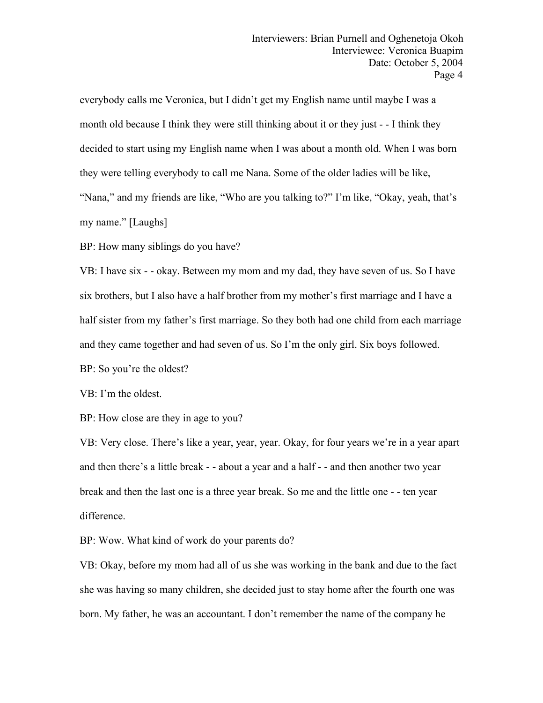everybody calls me Veronica, but I didn't get my English name until maybe I was a month old because I think they were still thinking about it or they just - - I think they decided to start using my English name when I was about a month old. When I was born they were telling everybody to call me Nana. Some of the older ladies will be like, "Nana," and my friends are like, "Who are you talking to?" I'm like, "Okay, yeah, that's my name." [Laughs]

BP: How many siblings do you have?

VB: I have six - - okay. Between my mom and my dad, they have seven of us. So I have six brothers, but I also have a half brother from my mother's first marriage and I have a half sister from my father's first marriage. So they both had one child from each marriage and they came together and had seven of us. So I'm the only girl. Six boys followed.

BP: So you're the oldest?

VB: I'm the oldest.

BP: How close are they in age to you?

VB: Very close. There's like a year, year, year. Okay, for four years we're in a year apart and then there's a little break - - about a year and a half - - and then another two year break and then the last one is a three year break. So me and the little one - - ten year difference.

BP: Wow. What kind of work do your parents do?

VB: Okay, before my mom had all of us she was working in the bank and due to the fact she was having so many children, she decided just to stay home after the fourth one was born. My father, he was an accountant. I don't remember the name of the company he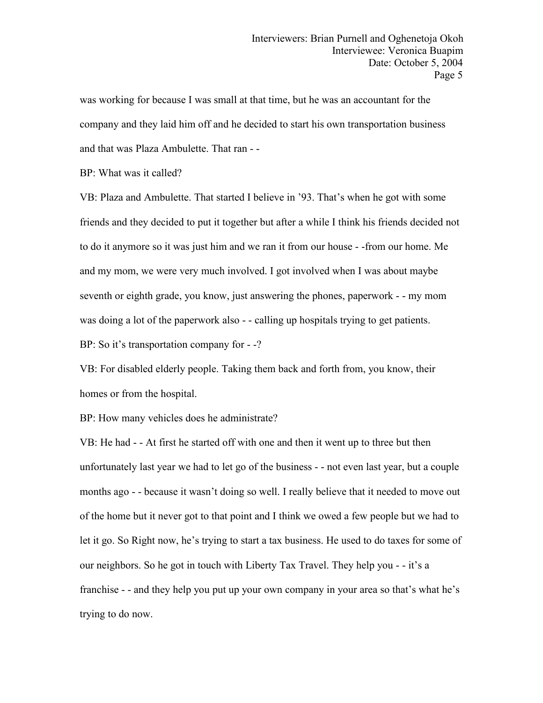was working for because I was small at that time, but he was an accountant for the company and they laid him offand he decided to start his own transportation business and that was Plaza Ambulette. That ran - -

BP: What was it called?

VB: Plaza and Ambulette. That started I believe in '93. That's when he got with some friends and they decided to put it together but after a while I think his friends decided not to do it anymore so it was justhim and we ran it from our house - -from our home. Me and my mom, we were very much involved. I got involved when I was about maybe seventh or eighth grade, you know, just answering the phones, paperwork - - my mom was doing a lot of the paperwork also - - calling up hospitals trying to get patients. BP: So it's transportation company for --?

VB: For disabled elderly people. Taking them back and forth from, you know, their homes or from the hospital.

BP: How many vehicles does he administrate?

VB: He had - - At first he started off with one and then it went up to three but then unfortunately last year we had to let go of the business - - not even last year, but a couple months ago - - because it wasn't doing so well. I really believe that it needed to move out of the home but it never got to that point and I think we owed a few people but we had to let it go. So Right now, he's trying to start a tax business. He used to do taxes for some of our neighbors. So he got in touch with Liberty Tax Travel. They help you - - it's a franchise - - and they help you put up your own company in your area so that's what he's trying to do now.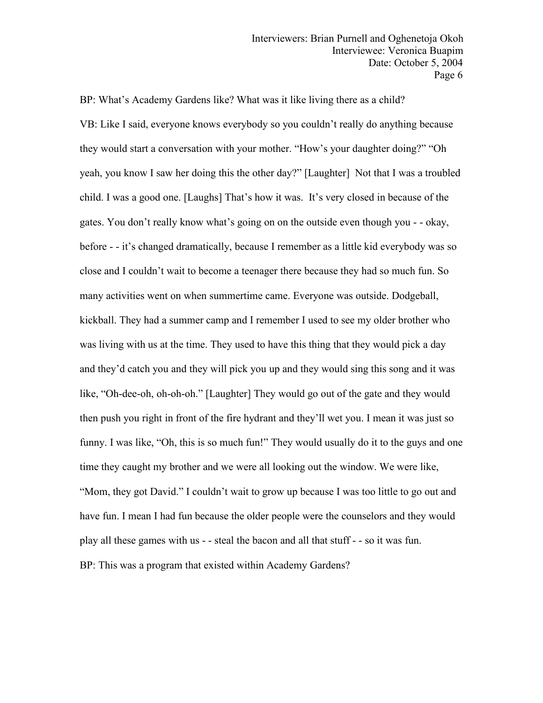BP: What's Academy Gardens like? What was it like living there as a child? VB: Like I said, everyone knows everybody so you couldn't really do anything because they would start a conversation with your mother. "How's your daughter doing?" "Oh yeah, you know I saw her doing this the other day?" [Laughter] Not that I was a troubled child. I was a good one. [Laughs] That's how it was. It's very closed in because of the gates. You don't really know what's going on on the outside even though you - - okay, before - - it's changed dramatically, because I remember as a little kid everybody was so close and I couldn't wait to become a teenager there because they had so much fun. So many activities went on when summertime came. Everyone was outside. Dodgeball, kickball. They had a summer camp and I remember I used to see my older brother who was living with us at the time. They used to have this thing that they would pick a day and they'd catch you and they will pick you up and they would sing this song and it was like, "Oh-dee-oh, oh-oh-oh." [Laughter] They would go out of the gate and they would then push you right in front of the fire hydrant and they'll wet you. I mean it was justso funny. I was like, "Oh, this is so much fun!" They would usually do it to the guys and one time they caught my brother and we were all looking out the window. We were like, "Mom, they got David." I couldn't wait to grow up because I was too little to go out and have fun. I mean I had fun because the older people were the counselors and they would play all these games with us - - steal the bacon and all that stuff - - so it was fun. BP: This was a program that existed within Academy Gardens?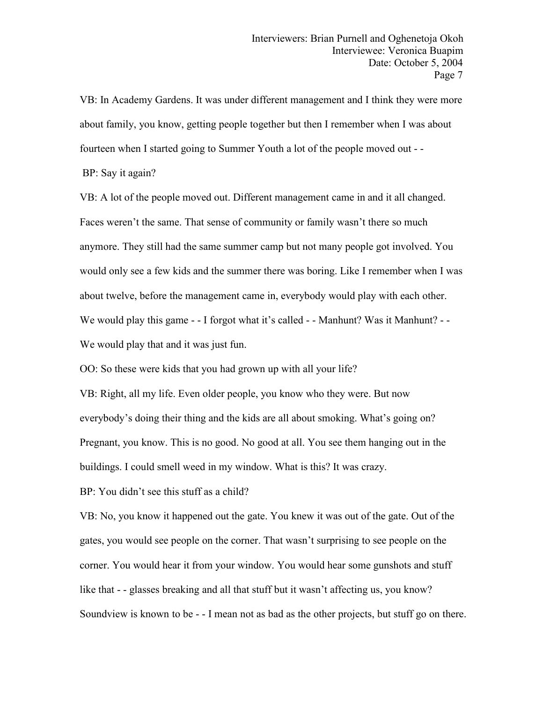VB: In Academy Gardens. It was under different management and I think they were more about family, you know, getting people together but then I remember when I was about fourteen when I started going to Summer Youth a lot of the people moved out - -

BP: Say it again?

VB: A lot of the people moved out. Different management came in and it all changed. Faces weren't the same. That sense of community or family wasn't there so much anymore. They still had the same summer camp but not many people got involved. You would only see a few kids and the summer there was boring. Like I remember when I was about twelve, before the management came in, everybody would play with each other. We would play this game - - I forgot what it's called - - Manhunt? Was it Manhunt? - -We would play that and it was just fun.

OO: So these were kids that you had grown up with all your life?

VB: Right, all my life. Even older people, you know who they were. But now everybody's doing their thing and the kids are all about smoking. What's going on? Pregnant, you know. This is no good. No good at all.You see them hanging out in the buildings. I could smell weed in my window. What is this? It was crazy.

BP: You didn't see this stuff as a child?

VB: No, you know it happened out the gate. You knew it was out of the gate. Out of the gates, you would see people on the corner. That wasn't surprising to see people on the corner. You would hear it from your window. You would hear some gunshots and stuff like that - - glasses breaking and all that stuff but it wasn't affecting us, you know? Soundview is known to be - - I mean not as bad as the other projects, but stuff go on there.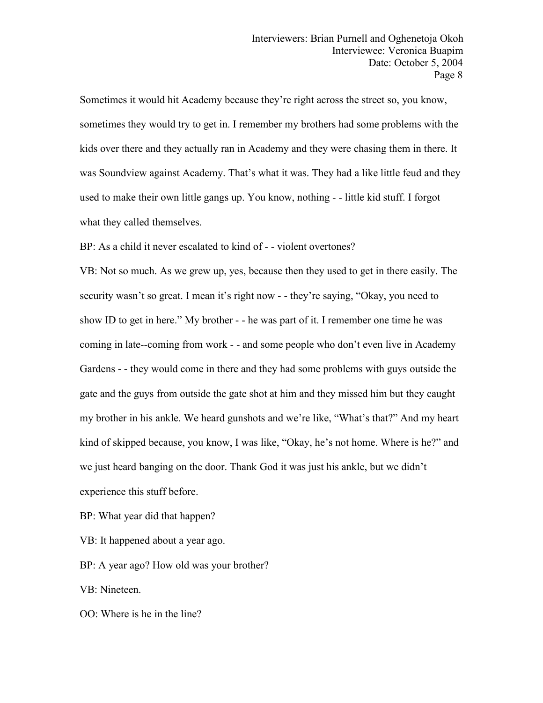Sometimes it would hit Academy because they're right across the street so, you know, sometimes they would try to get in. I remember my brothers had some problems with the kids over there and they actually ran in Academy and they were chasing them in there. It was Soundview against Academy. That's what it was. They had a like little feud and they used to make their own little gangs up. You know, nothing - - little kid stuff. I forgot what they called themselves.

BP: As a child it never escalated to kind of - - violent overtones?

VB: Not so much. As we grew up, yes, because then they used to get in there easily. The security wasn't so great. I mean it's right now - - they're saying, "Okay, you need to show ID to get in here." My brother- - he was part of it. I remember one time he was coming in late--coming from work - - and some people who don't even live in Academy Gardens - - they would come in there and they had some problems with guys outside the gate and the guys from outside the gate shot at him and they missed him but they caught my brother in his ankle. We heard gunshots and we're like, "What's that?" And my heart kind of skipped because, you know, I was like, "Okay, he's not home. Where is he?" and we just heard banging on the door. Thank God it was just his ankle, but we didn't experience this stuff before.

BP: What year did that happen?

VB: It happened about a year ago.

BP: A year ago? How old was your brother?

VB: Nineteen.

OO: Where is he in the line?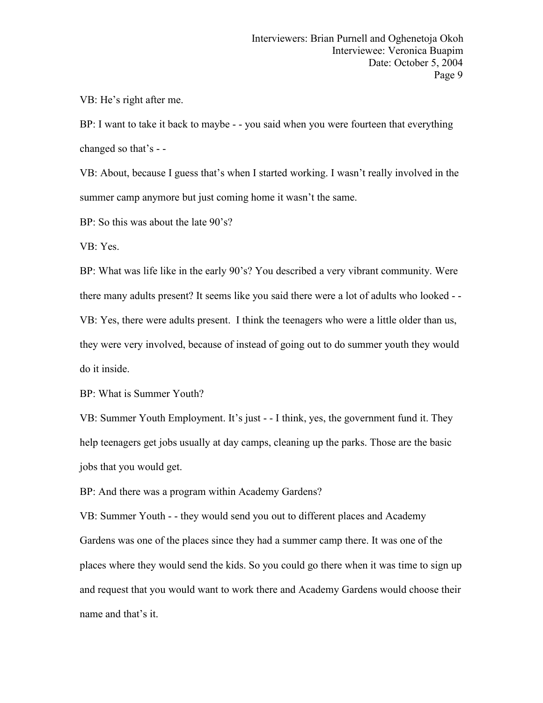VB: He's right after me.

BP: I want to take it back to maybe - - you said when you were fourteen that everything changed so that's - -

VB: About, because I guess that's when I started working. I wasn't really involved in the summer camp anymore but just coming home it wasn't the same.

BP: So this was about the late 90's?

VB: Yes.

BP: What was life like in the early 90's? You described a very vibrant community. Were there many adults present? It seems like you said there were a lot of adults who looked - - VB: Yes, there were adults present. I think the teenagers who were a little older than us, they were very involved, because of instead of going out to do summer youth they would do it inside.

BP: What is Summer Youth?

VB: Summer Youth Employment. It's just - - I think, yes, the government fund it. They help teenagers get jobs usually at day camps, cleaning up the parks. Those are the basic jobs that you would get.

BP: And there was a program within Academy Gardens?

VB: Summer Youth - - they would send you out to different places and Academy Gardens was one of the places since they had a summer camp there. It was one of the places where they would send the kids. So you could go there when it was time to sign up and request that you would want to work there and Academy Gardens would choose their name and that's it.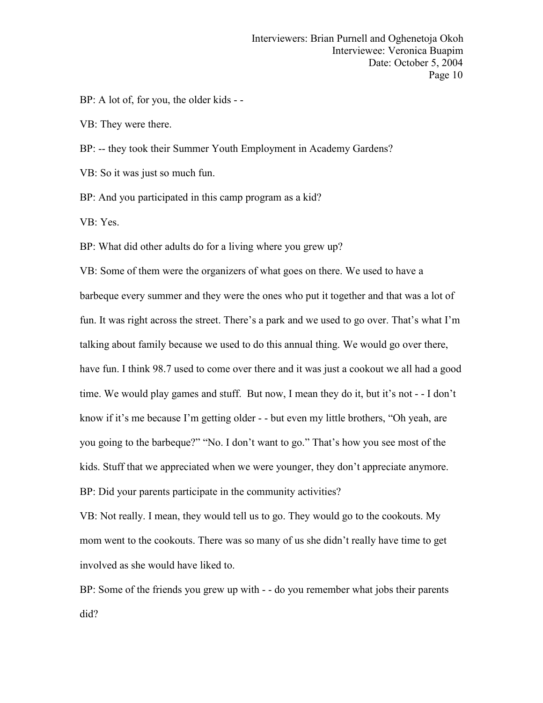BP: A lot of, for you, the older kids - -

VB: They were there.

BP: -- they took their Summer Youth Employment in Academy Gardens?

VB: So it was just so much fun.

BP: And you participated in this camp program as a kid?

VB: Yes.

BP: What did other adults do for a living where you grew up?

VB: Some of them were the organizers of what goes on there. We used to have a barbeque every summer and they were the ones who put it together and that was a lot of fun. It was right across the street. There's a park and we used to go over. That's what I'm talking about family because we used to do this annual thing. We would go over there, have fun. I think 98.7 used to come over there and it was just a cookout we all had a good time. We would play games and stuff. Butnow, I mean they do it, but it's not - - I don't know if it's me because I'm getting older - - but even my little brothers, "Oh yeah, are you going to the barbeque?" "No. I don't want to go." That's how you see most of the kids. Stuff that we appreciated when we were younger, they don't appreciate anymore. BP: Did your parents participate in the community activities?

VB: Not really. I mean, they would tell us to go. They would go to the cookouts. My mom went to the cookouts. There was so many of us she didn't really have time to get involved as she would have liked to.

BP: Some of the friends you grew up with - - do you remember what jobs their parents did?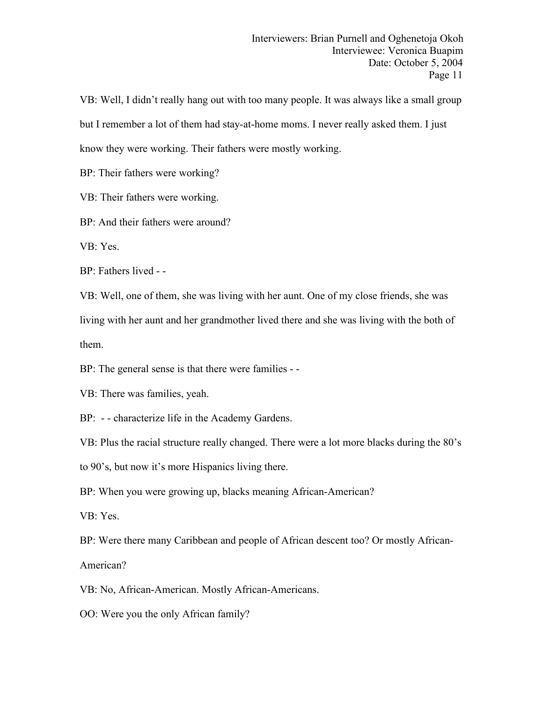VB: Well, I didn't really hang out with too many people. It was always like a small group but I remember a lot of them had stay-at-home moms. I never really asked them. I just know they were working. Their fathers were mostly working.

BP: Their fathers were working?

VB: Their fathers were working.

BP: And their fathers were around?

VB: Yes.

BP: Fathers lived - -

VB: Well, one of them, she was living with her aunt. One of my close friends, she was living with her aunt and her grandmother lived there and she was living with the both of them.

BP: The general sense is that there were families - -

VB: There was families, yeah.

BP: - - characterize life in the Academy Gardens.

VB: Plus the racial structure really changed. There were a lot more blacks during the 80's

to 90's, but now it's more Hispanics living there.

BP: When you were growing up, blacks meaning African-American?

VB: Yes.

BP: Were there many Caribbean and people of African descent too? Or mostly African-

American?

VB: No, African-American. Mostly African-Americans.

OO: Were you the only African family?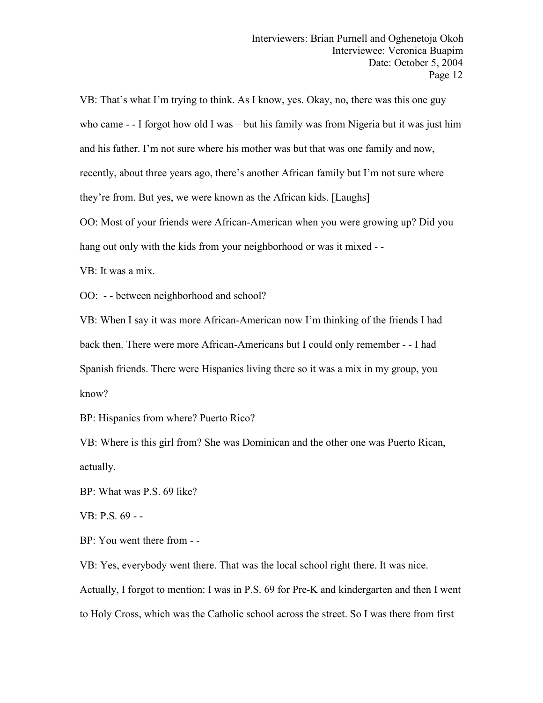VB: That's what I'm trying to think. As I know, yes. Okay, no, there was this one guy who came - - I forgot how old I was – but his family was from Nigeria but it was just him and his father. I'm not sure where his mother was but that was one family and now, recently, about three years ago, there's another African family but I'm not sure where they're from. But yes, we were known as the African kids. [Laughs] OO: Most of your friends were African-American when you were growing up? Did you

hang out only with the kids from your neighborhood or was it mixed - -

VB: It was a mix.

OO: - - between neighborhood and school?

VB: When I say it was more African-American now I'm thinking of the friends I had back then. There were more African-Americans but I could only remember - - I had Spanish friends. There were Hispanics living there so it was a mix in my group, you know?

BP: Hispanics from where? Puerto Rico?

VB: Where is this girl from? She was Dominican and the other one was Puerto Rican, actually.

BP: What was P.S. 69 like?

VB: P.S. 69 - -

BP: You went there from - -

VB: Yes, everybody went there. That was the local school right there. It was nice. Actually, I forgot to mention: I was in P.S. 69 for Pre-K and kindergarten and then I went to Holy Cross, which was the Catholic school across the street. So I was there from first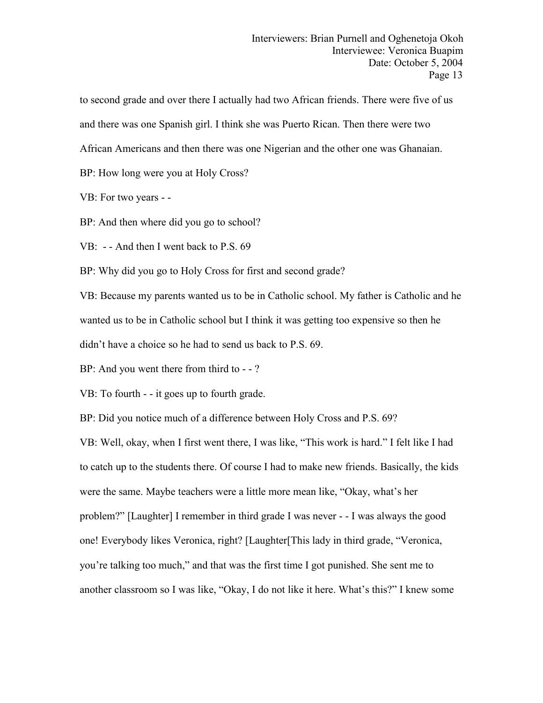to second grade and over there I actually had two African friends. There were five of us

and there was one Spanish girl. I think she was Puerto Rican. Then there were two

African Americans and then there was one Nigerian and the other one was Ghanaian.

BP: How long were you at Holy Cross?

VB: For two years - -

BP: And then where did you go to school?

VB: - - And then I went back to P.S. 69

BP: Why did you go to Holy Cross for first and second grade?

VB: Because my parents wanted us to be in Catholic school. My father is Catholic and he wanted us to be in Catholic school but I think it was getting too expensive so then he didn't have a choice so he had to send us back to P.S. 69.

BP: And you went there from third to - -?

VB: To fourth - - it goes up to fourth grade.

BP: Did you notice much of a difference between Holy Cross and P.S. 69?

VB: Well, okay, when I first went there, I was like, "This work is hard." I felt like I had to catch up to the students there. Of course I had to make new friends. Basically, the kids were the same. Maybe teachers were a little more mean like, "Okay, what's her problem?" [Laughter] I remember in third grade I was never - - I was always the good one! Everybody likes Veronica, right? [Laughter[This lady in third grade, "Veronica, you're talking too much," and that was the first time I got punished. She sent me to another classroom so I was like, "Okay, I do not like it here. What's this?" I knew some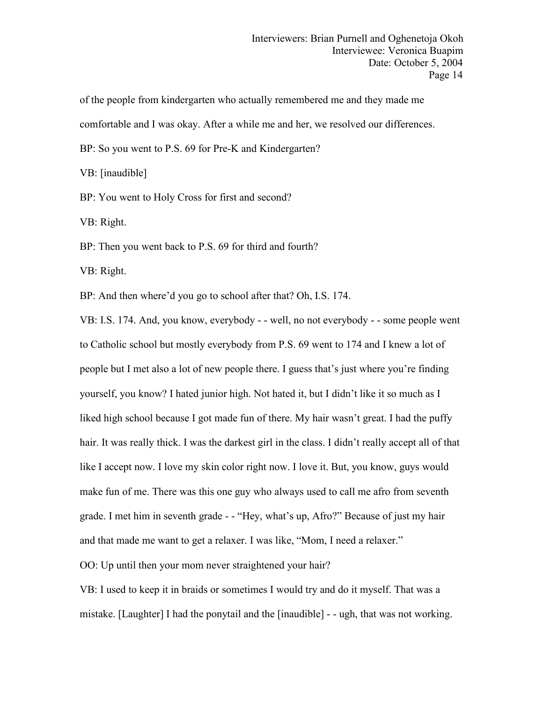of the people from kindergarten who actually remembered me and they made me

comfortable and I was okay. After a while me and her, we resolved our differences.

BP: So you went to P.S. 69 for Pre-K and Kindergarten?

VB: [inaudible]

BP: You went to Holy Cross for first and second?

VB: Right.

BP: Then you went back to P.S. 69 for third and fourth?

VB: Right.

BP: And then where'd you go to school after that? Oh, I.S. 174.

VB: I.S. 174. And, you know, everybody - - well, no not everybody - - some people went to Catholic school but mostly everybody from P.S. 69 went to 174 and I knew a lot of people but Imet also a lot of new people there. I guess that's just where you're finding yourself, you know? I hated junior high. Not hated it, but I didn't like it so much as I liked high school because I got made fun of there. My hair wasn't great. I had the puffy hair. It was really thick. I was the darkest girl in the class. I didn't really accept all of that like I accept now. I love my skin color right now. I love it. But, you know, guys would make fun of me. There was this one guy who always used to call me afro from seventh grade. I met him in seventh grade - - "Hey, what's up, Afro?" Because of just my hair and that made me want to get a relaxer. I was like, "Mom, I need a relaxer."

OO: Up until then your mom never straightened your hair?

VB: I used to keep it in braids or sometimes I would try and do it myself. That was a mistake. [Laughter] I had the ponytail and the [inaudible] - - ugh, that was not working.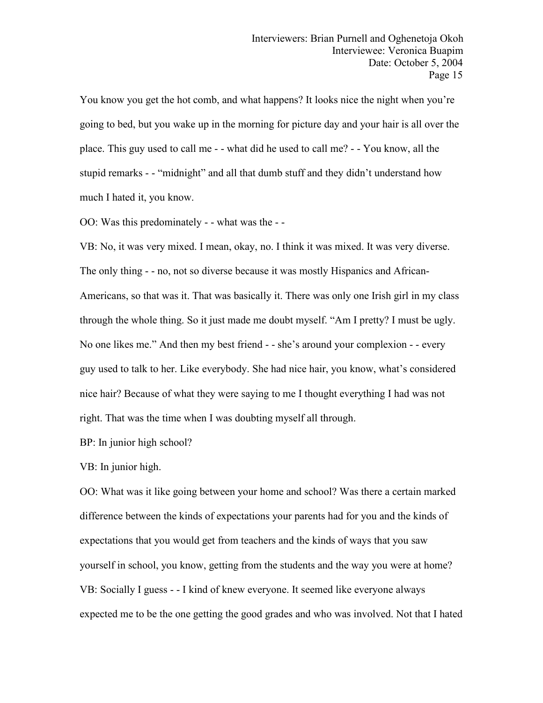You know you get the hot comb, and what happens? It looks nice the night when you're going to bed, but you wake up in the morning for picture day and your hair is all over the place. This guy used to call me - - what did he used to call me? - - You know, all the stupid remarks - - "midnight" and all that dumb stuff and they didn't understand how much I hated it, you know.

OO: Was this predominately - - what was the - -

VB: No, it was very mixed. I mean, okay, no. I think it was mixed. It was very diverse. The only thing - - no, not so diverse because it was mostly Hispanics and African-Americans, so that was it. That was basically it. There was only one Irish girl in my class through the whole thing. So it just made me doubt myself. "Am I pretty? I must be ugly. No one likes me." And then my best friend - - she's around your complexion - - every guy used to talk to her. Like everybody. She had nice hair, you know, what's considered nice hair? Because of what they were saying to me I thought everything I had was not right. That was the time when I was doubting myself all through.

BP: In junior high school?

VB: In junior high.

OO: What was it like going between your home and school? Was there a certain marked difference between the kinds of expectations your parents had for you and the kinds of expectations that you would get from teachers and the kinds of ways that you saw yourself in school, you know, getting from the students and the way you were at home? VB: Socially I guess - - I kind of knew everyone. It seemed like everyone always expected me to be the one getting the good grades and who was involved. Not that I hated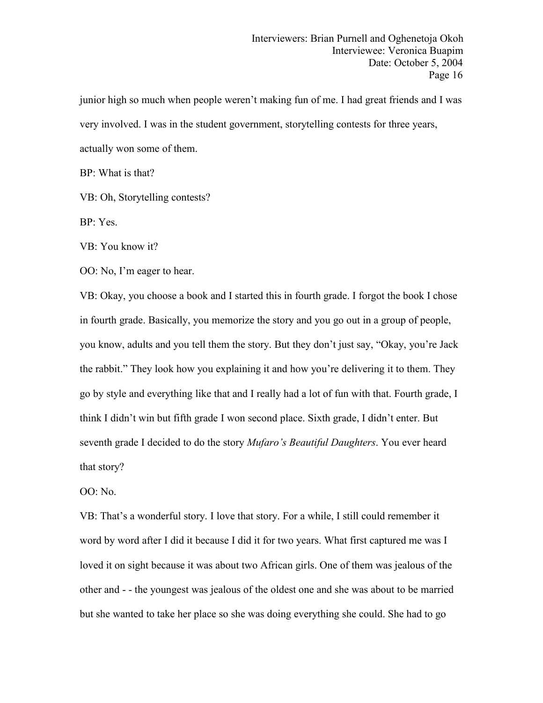junior high so much when people weren't making fun of me. I had great friends and I was very involved. I was in the student government, storytelling contests for three years, actually won some of them.

BP: What is that?

VB: Oh, Storytelling contests?

BP: Yes.

VB: You know it?

OO: No, I'm eager to hear.

VB: Okay, you choose a book and I started this in fourth grade. I forgot the book I chose in fourth grade. Basically, you memorize the story and you go out in a group of people, you know, adults and you tell them the story. But they don't just say, "Okay, you're Jack the rabbit." They look how you explaining it and how you're delivering it to them. They go by style and everything like that and I really had a lot of fun with that. Fourth grade, I think I didn't win but fifth grade I won second place. Sixth grade, I didn't enter. But seventh grade I decided to do the story *Mufaro's Beautiful Daughters*. You ever heard that story?

OO: No.

VB: That's a wonderful story. I love that story. For a while, I still could remember it word by word after I did it because I did it for two years. What first captured me was I loved it on sight because it was about two African girls. One of them was jealous of the other and - - the youngest was jealous ofthe oldest one and she was about to be married but she wanted to take her place so she was doing everything she could. She had to go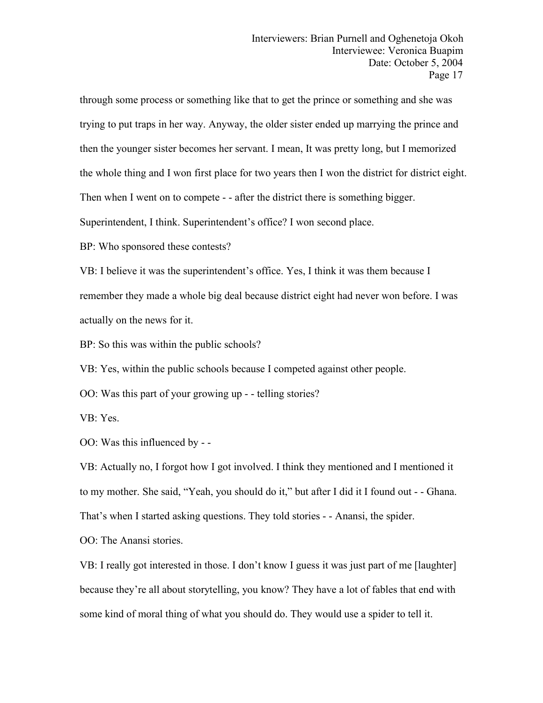through some process or something like that to get the prince or something and she was trying to put traps in her way. Anyway, the older sister ended up marrying the prince and then the younger sister becomes her servant. I mean, It was pretty long, but I memorized the whole thing and I won first place for two years then I won the district for district eight. Then when I went on to compete - - after the district there is something bigger. Superintendent, I think. Superintendent's office? I won second place.

BP: Who sponsored these contests?

VB: I believe it was the superintendent's office. Yes, I think it was them because I remember they made a whole big deal because district eight had never won before. I was actually on the news for it.

BP: So this was within the public schools?

VB: Yes, within the public schools because I competed against other people.

OO: Was this part of your growing up - - telling stories?

VB: Yes.

OO: Was this influenced by - -

VB: Actually no, I forgot how I got involved. I think they mentioned and I mentioned it to my mother. She said, "Yeah, you should do it," butafter I did it I found out - - Ghana. That's when I started asking questions. They told stories - - Anansi, the spider.

OO: The Anansi stories.

VB: I really got interested in those. I don't know I guess it was just part of me [laughter] because they're all about storytelling, you know? They have a lot of fables that end with some kind of moral thing of what you should do. They would use a spider to tell it.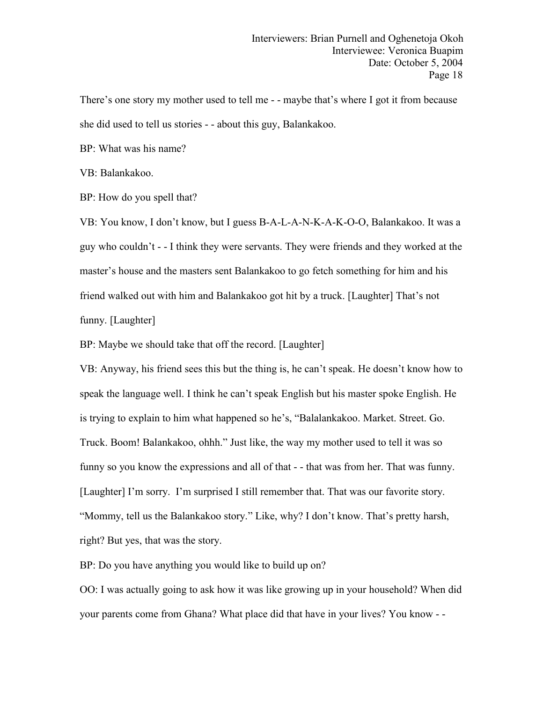There's one story my mother used to tell me - - maybe that's where I got it from because she did used to tell us stories - - about this guy, Balankakoo.

BP: What was his name?

VB: Balankakoo.

BP: How do you spell that?

VB: You know, I don't know, but I guess B-A-L-A-N-K-A-K-O-O, Balankakoo. It was a guy who couldn't - - I think they were servants. They were friends and they worked atthe master's house and the masters sent Balankakoo to go fetch something for him and his friend walked out with him and Balankakoo got hitby a truck. [Laughter] That's not funny. [Laughter]

BP: Maybe we should take that off the record. [Laughter]

VB: Anyway, his friend sees this but the thing is, he can't speak. He doesn't know how to speak the language well. I think he can't speak English but his master spoke English. He is trying to explain to him what happened so he's, "Balalankakoo. Market. Street. Go. Truck. Boom! Balankakoo, ohhh." Just like, the way my mother used to tell it was so funny so you know the expressions and all of that - - that was from her. That was funny. [Laughter] I'm sorry. I'm surprised I still remember that. That was our favorite story. "Mommy, tell us the Balankakoo story." Like, why? I don't know. That's pretty harsh, right? But yes, that was the story.

BP: Do you have anything you would like to build up on?

OO: I was actually going to ask how it was like growing up in your household? When did your parents come from Ghana? What place did that have in your lives? You know - -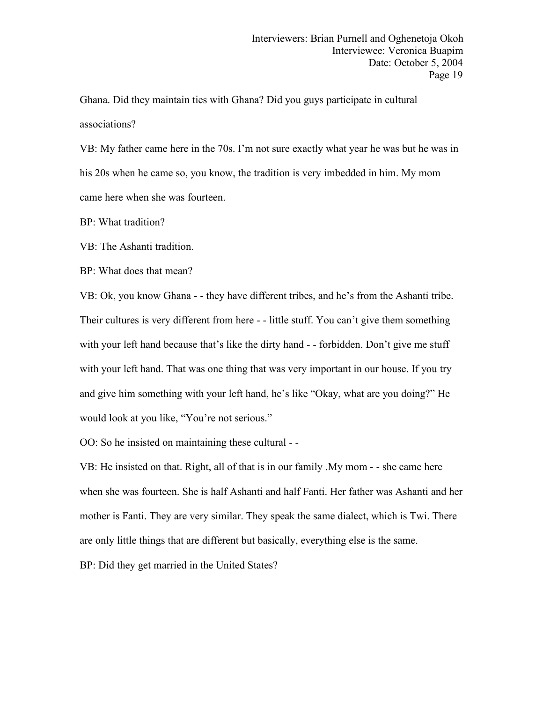Ghana. Did they maintain ties with Ghana? Did you guys participate in cultural associations?

VB: My father came here in the 70s. I'm not sure exactly what year he was but he was in his 20s when he came so, you know, the tradition is very imbedded in him. My mom came here when she was fourteen.

BP: What tradition?

VB: The Ashanti tradition.

BP: What does that mean?

VB: Ok, you know Ghana - - they have different tribes, and he's from the Ashanti tribe. Their cultures is very different from here - - little stuff. You can't give them something with your left hand because that's like the dirty hand - - forbidden. Don't give me stuff with your left hand. That was one thing that was very important in our house. If you try and give him something with your left hand, he's like "Okay, what are you doing?" He would look at you like, "You're not serious."

OO: So he insisted on maintaining these cultural - -

VB: He insisted on that. Right, all of that is in our family .My mom - - she came here when she was fourteen. She is half Ashanti and half Fanti. Her father was Ashanti and her mother is Fanti. They are very similar. They speak the same dialect, which is Twi. There are only little things that are different but basically, everything else is the same.

BP: Did they get married in the United States?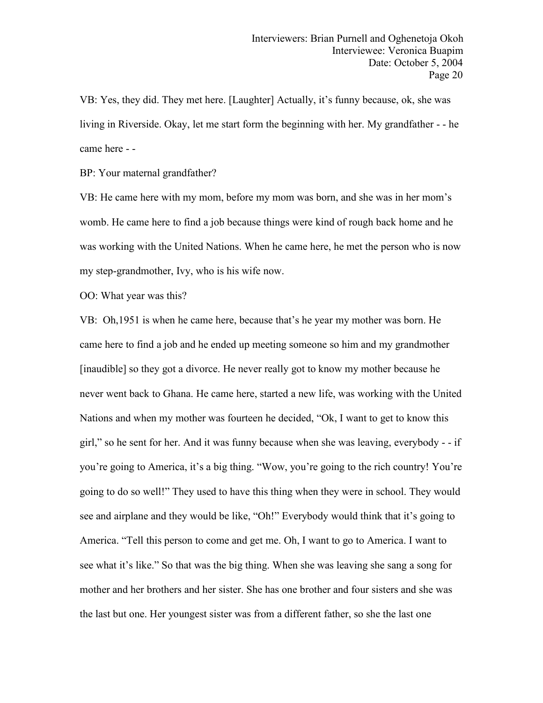VB: Yes, they did. They met here. [Laughter] Actually, it's funny because, ok, she was living in Riverside. Okay, let me start form the beginning with her. My grandfather - - he came here - -

BP: Your maternal grandfather?

VB: He came here with my mom, before my mom was born, and she was in her mom's womb. He came here to find a job because things were kind of rough back home and he was working with the United Nations. When he came here, he met the person who is now my step-grandmother, Ivy, who is his wife now.

OO: What year was this?

VB: Oh,1951 is when he came here, because that's he year my mother was born. He came here to find a job and he ended up meeting someone so him and my grandmother [inaudible] so they got a divorce. He never really got to know my mother because he never went back to Ghana. He came here, started a new life,was working with the United Nations and when my mother was fourteen he decided, "Ok, I want to get to know this girl," so he sent for her. And it was funny because when she was leaving, everybody - - if you're going to America, it's a big thing. "Wow, you're going to the rich country! You're going to do so well!" They used to have this thing when they were in school. They would see and airplane and they would be like, "Oh!" Everybody would think that it's going to America. "Tell this person to come and get me. Oh, I want to go to America. I want to see what it's like." So that was the big thing. When she was leaving she sang a song for mother and her brothers and her sister. She has one brother and four sisters and she was the last butone. Her youngest sister was from a different father, so she the last one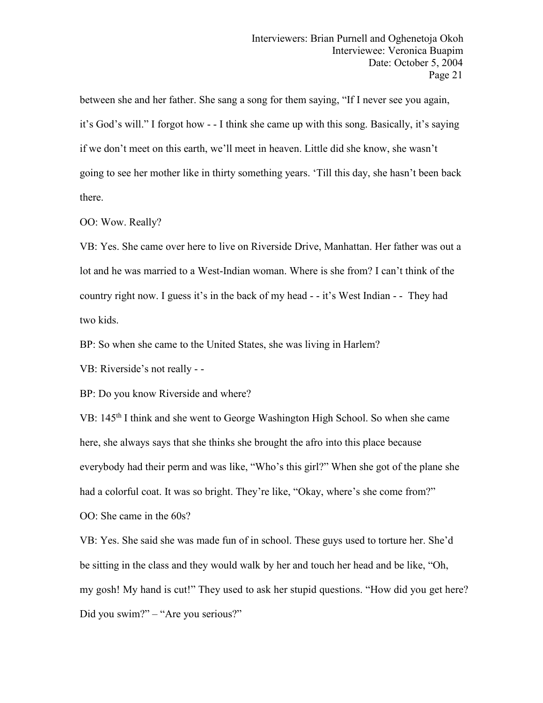between she and her father. She sang a song for them saying, "If I never see you again, it's God's will." I forgot how - - I think she came up with this song. Basically, it's saying if we don't meet on this earth, we'll meet in heaven. Little did she know, she wasn't going to see her mother like in thirty something years. 'Till this day, she hasn't been back there.

OO: Wow. Really?

VB: Yes. She came over here to live on Riverside Drive, Manhattan. Her father was out a lot and he was married to a West-Indian woman. Where is she from? I can't think of the country right now. I guess it's in the back of my head - - it's West Indian - - They had two kids.

BP: So when she came to the United States, she was living in Harlem?

VB: Riverside's not really - -

BP: Do you know Riverside and where?

VB: 145th I think and she went to George Washington High School. So when she came here, she always says that she thinks she brought the afro into this place because everybody had their perm and was like, "Who's this girl?" When she got of the plane she had a colorful coat. It was so bright. They're like, "Okay, where's she come from?" OO: She came in the 60s?

VB: Yes. She said she was made fun of in school. These guys used to torture her. She'd be sitting in the class and they would walk by her and touch her head and be like, "Oh, my gosh! My hand is cut!" They used to ask her stupid questions. "How did you get here? Did you swim?" – "Are you serious?"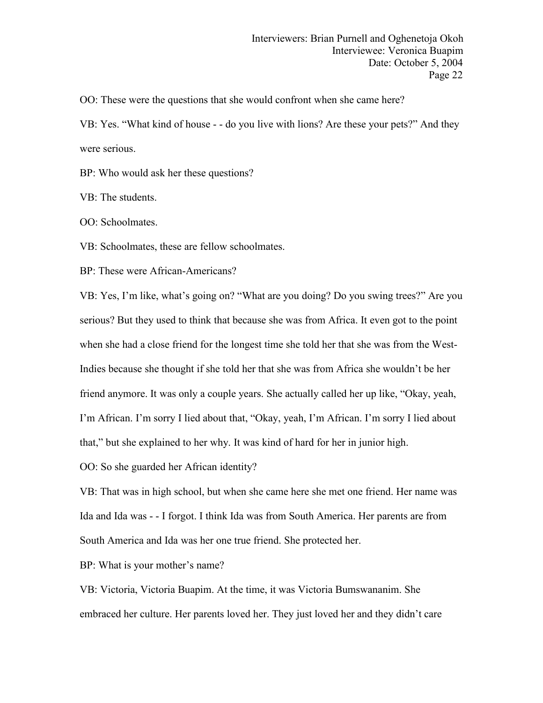OO: These were the questions that she would confront when she came here?

VB: Yes. "What kind of house - - do you live with lions? Are these your pets?" And they were serious.

BP: Who would ask her these questions?

VB: The students.

OO: Schoolmates.

VB: Schoolmates, these are fellow schoolmates.

BP: These were African-Americans?

VB: Yes, I'm like, what's going on? "What are you doing? Do you swing trees?" Are you serious? But they used to think that because she was from Africa. It even got to the point when she had a close friend for the longest time she told her that she was from the West-Indies because she thought if she told her that she was from Africa she wouldn't be her friend anymore. It was only a couple years. She actually called her up like,"Okay, yeah, I'm African. I'm sorry I lied about that, "Okay, yeah, I'm African. I'm sorry I lied about that," but she explained to her why.It was kind of hard for her in junior high.

OO: So she guarded her African identity?

VB: That was in high school, but when she came here she met one friend. Her name was Ida and Ida was - - I forgot. I think Ida was from South America. Her parents are from South America and Ida was her one true friend. She protected her.

BP: What is your mother's name?

VB: Victoria, Victoria Buapim.At the time, it was Victoria Bumswananim. She embraced her culture. Her parents loved her. They just loved her and they didn't care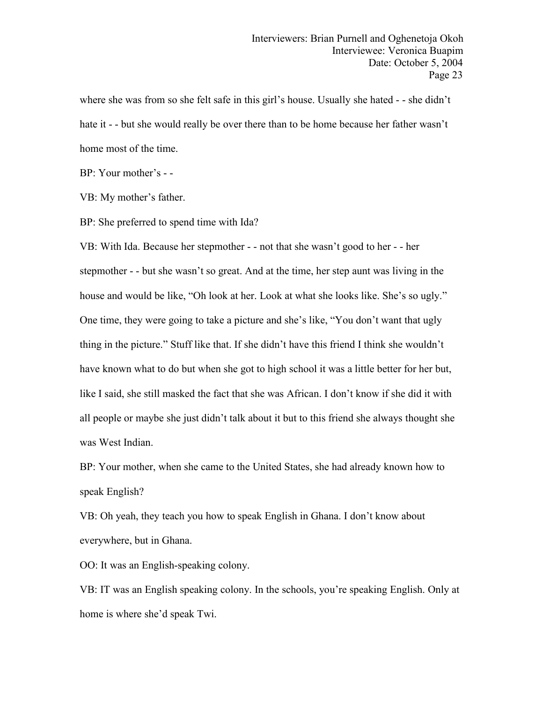where she was from so she felt safe in this girl's house. Usually she hated - - she didn't hate it - - but she would really be over there than to be home because her father wasn't home most of the time.

BP: Your mother's - -

VB: My mother's father.

BP: She preferred to spend time with Ida?

VB: With Ida. Because her stepmother - - not that she wasn't good to her -- her stepmother - - but she wasn't so great. And at the time, her step aunt was living in the house and would be like, "Oh look at her. Look at what she looks like. She's so ugly." One time, they were going to take a picture and she's like, "You don't want that ugly thing in the picture." Stuff like that. If she didn't have this friend I think she wouldn't have known what to do but when she got to high school it was a little better for her but, like I said, she still masked the fact that she was African. I don't know if she did it with all people or maybe she just didn't talk about it but to this friend she always thought she was West Indian.

BP: Your mother, when she came to the United States, she had already known how to speak English?

VB: Oh yeah, they teach you how to speak English in Ghana. I don't know about everywhere, but in Ghana.

OO: It was an English-speaking colony.

VB: IT was an English speaking colony. In the schools, you're speaking English. Only at home is where she'd speak Twi.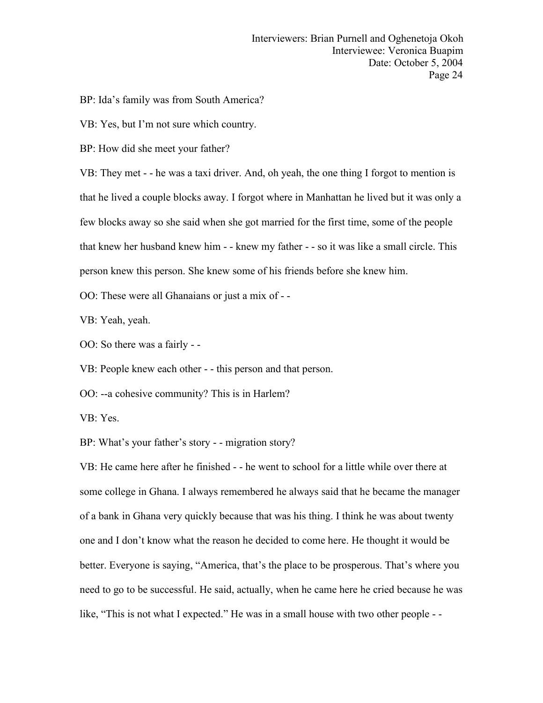BP: Ida's family was from South America?

VB: Yes, but I'm not sure which country.

BP: How did she meet your father?

VB: They met - - he was a taxi driver. And, oh yeah, the one thing I forgot to mention is that he lived a couple blocks away. I forgot where in Manhattan he lived but it was only a few blocks away so she said when she got married for the first time, some of the people that knew her husband knew him - - knew my father - - so it was like a small circle. This person knew this person. She knew some of his friends before she knew him.

OO: These were all Ghanaians or just a mix of - -

VB: Yeah, yeah.

OO: So there was a fairly - -

VB: People knew each other - - this person and that person.

OO: --a cohesive community? This is in Harlem?

VB: Yes.

BP: What's your father's story - - migration story?

VB: He came here after he finished - - he went to school for a little while over there at some college in Ghana. I always remembered he always said that he became the manager of a bank in Ghana very quickly because that was his thing. I think he was about twenty one and I don't know what the reason he decided to come here. He thought it would be better. Everyone is saying, "America, that's the place to be prosperous. That's where you need to go to be successful. He said, actually, when he came here he cried because he was like, "This is not what I expected." He was in a small house with two other people - -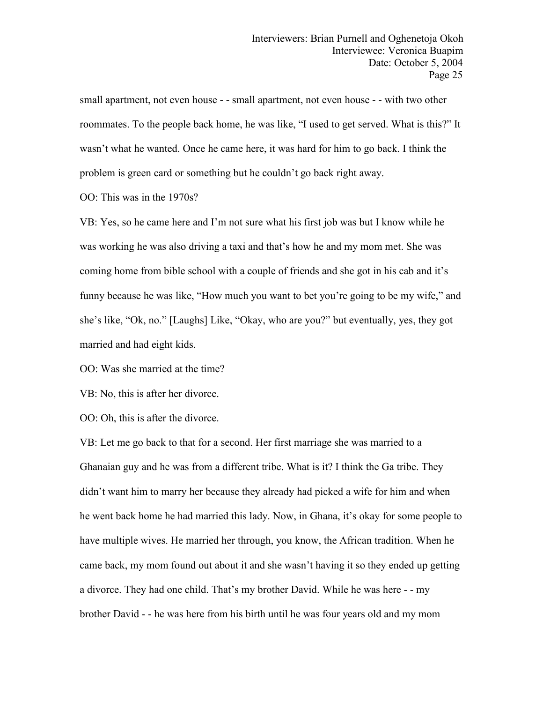small apartment, not even house -- small apartment, not even house -- with two other roommates. To the people back home, he was like, "I used to get served. What is this?" It wasn't what he wanted. Once he came here, it was hard for him to go back. I think the problem is green card or something but he couldn't go back right away.

OO: This was in the 1970s?

VB: Yes, so he came here and I'm not sure what his first job was but I know while he was working he was also driving a taxi and that's how he and my mom met. She was coming home from bible school with a couple of friends and she got in his cab and it's funny because he was like, "How much you want to bet you're going to be my wife," and she's like, "Ok, no." [Laughs] Like, "Okay, who are you?" but eventually, yes, they got married and had eight kids.

OO: Was she married at the time?

VB: No, this is after her divorce.

OO: Oh, this is after the divorce.

VB: Let me go back to that for a second. Her first marriage she was married to a Ghanaian guy and he was from a different tribe. What is it? I think the Ga tribe. They didn't want him to marry her because they already had picked a wife for him and when he went back home he had married this lady. Now, in Ghana, it's okay for some people to have multiple wives. He married her through, you know, the African tradition. When he came back, my mom found out about it and she wasn't having it so they ended up getting a divorce. They had one child. That's my brother David. While he was here - - my brother David - - he was here from his birth until he was four years old and my mom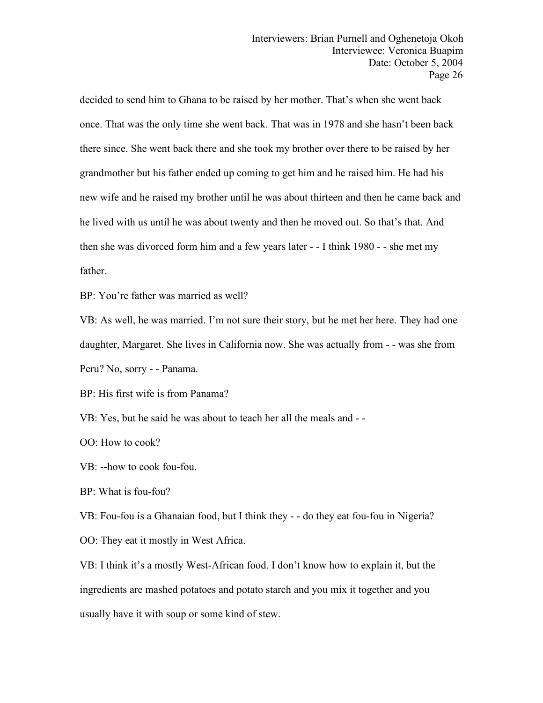decided to send him to Ghana to be raised by her mother. That's when she went back once. That was the only time she went back. That was in 1978 and she hasn't been back there since. She went back there and she took my brother over there to be raised by her grandmother but his father ended up coming to get him and he raised him. He had his new wife and he raised my brother until he was about thirteen and then he came back and he lived with us until he was about twenty and then he moved out. So that's that. And then she was divorced form him and a few years later - - I think 1980 - - she met my father.

BP: You're father was married as well?

VB: As well, he was married. I'm not sure their story, but he met her here. They had one daughter, Margaret. She lives in California now. She was actually from - - was she from Peru? No, sorry - - Panama.

BP: His first wife is from Panama?

VB: Yes, but he said he was about to teach her all the meals and - -

OO: How to cook?

VB: --how to cook fou-fou.

BP: What is fou-fou?

VB: Fou-fou is a Ghanaian food, but I think they - - do they eat fou-fou in Nigeria?

OO: They eat it mostly in West Africa.

VB: I think it's a mostly West-African food. I don't know how to explain it, but the ingredients are mashed potatoes and potato starch and you mix it together and you usually have it with soup or some kind of stew.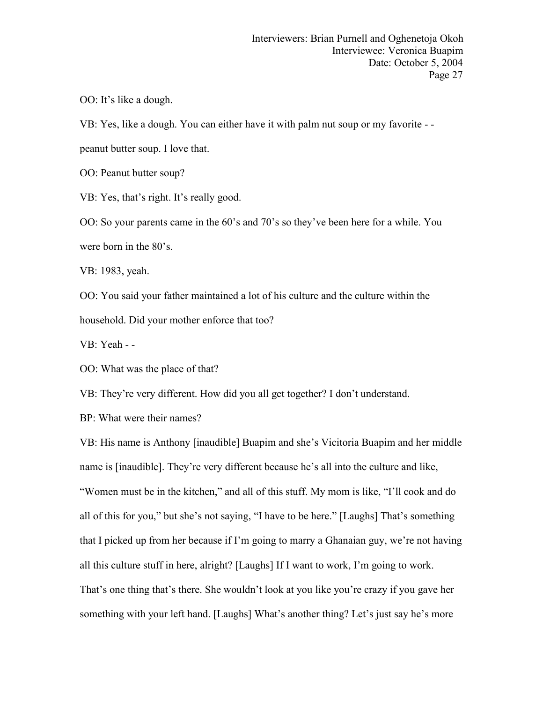OO: It's like a dough.

VB: Yes, like a dough.You can either have it with palm nut soup or my favorite - -

peanut butter soup. I love that.

OO: Peanut butter soup?

VB: Yes, that's right. It's really good.

OO: So your parents came in the 60's and 70's so they've been here for a while. You were born in the 80's.

VB: 1983, yeah.

OO: You said your father maintained a lot of his culture and the culture within the household. Did your mother enforce that too?

VB: Yeah - -

OO: What was the place of that?

VB: They're very different. How did you all get together? I don't understand.

BP: What were their names?

VB: His name is Anthony [inaudible] Buapim and she's Vicitoria Buapim and her middle name is [inaudible]. They're very different because he's all into the culture and like,<br>"Women must be in the kitchen," and all of this stuff. My mom is like, "I'll cook and do all of this for you," but she's not saying, "I have to be here." [Laughs] That's something that I picked up from her because if I'm going to marry a Ghanaian guy, we're not having all this culture stuffin here, alright? [Laughs] If I want to work, I'm going to work. That's one thing that's there. She wouldn't look at you like you're crazy if you gave her something with your left hand. [Laughs] What's another thing? Let's just say he's more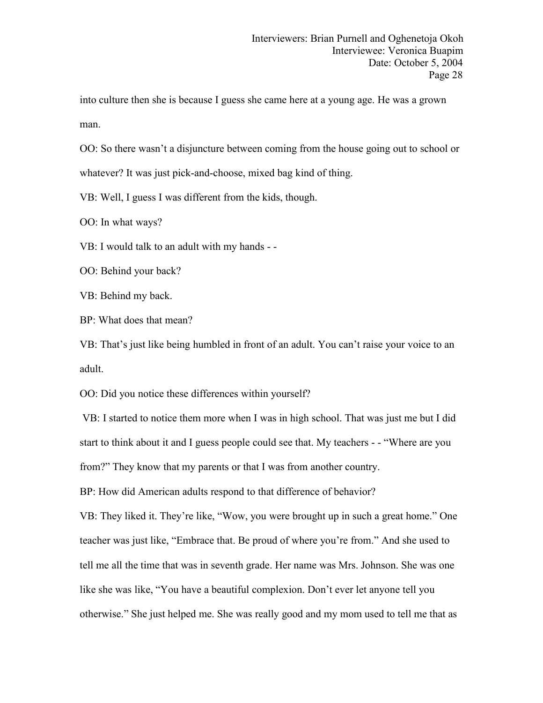into culture then she is because I guess she came here at a young age. He was a grown man.

OO: So there wasn't a disjuncture between coming from the house going out to school or whatever? It was just pick-and-choose, mixed bag kind of thing.

VB: Well, I guess I was different from the kids, though.

OO: In what ways?

VB: I would talk to an adult with my hands --

OO: Behind your back?

VB: Behind my back.

BP: What does that mean?

VB: That's just like being humbled in front of an adult. You can't raise yourvoice to an adult.

OO: Did you notice these differences within yourself?

VB: I started to notice them more when I was in high school. That was just me but I did start to think about it and I guess people could see that. My teachers - - "Where are you from?" They know that my parents or that I was from another country.

BP: How did American adults respond to that difference of behavior?

VB: They liked it. They're like, "Wow, you were brought up in such a great home." One teacher was just like, "Embrace that. Be proud of where you're from." And she used to tell me all the time that was in seventh grade. Her name was Mrs. Johnson. She was one like she was like, "You have a beautiful complexion. Don't ever let anyone tell you otherwise." She just helped me. She was really good and my mom used to tell me that as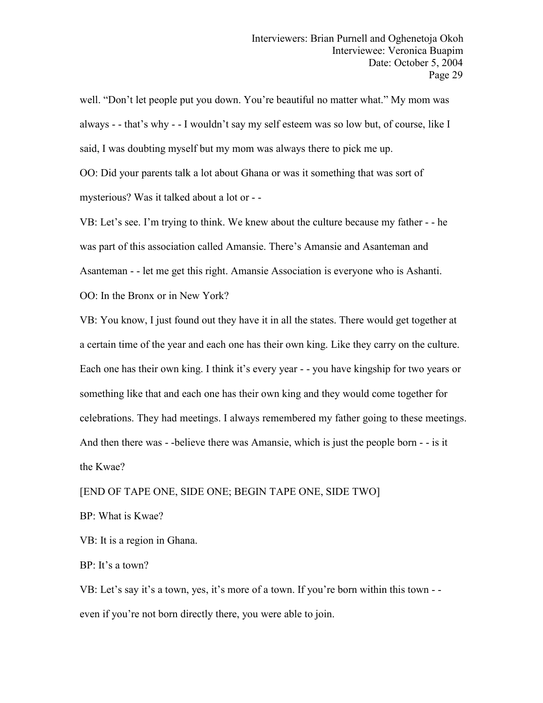well. "Don't let people put you down. You're beautiful no matter what." My mom was always - - that's why - - I wouldn't say my selfesteem was so low but, of course, like I said, I was doubting myself but my mom was always there to pick me up.

OO: Did your parents talk a lot about Ghana or was it something that was sort of mysterious? Was it talked about a lot or - -

VB: Let's see. I'm trying to think. We knew about the culture because my father - - he was part of this association called Amansie. There's Amansie and Asanteman and Asanteman - - let me get this right. Amansie Association is everyone who is Ashanti. OO: In the Bronx or in New York?

VB: You know, I just found out they have it in all the states. There would get together at a certain time of the year and each one has their own king. Like they carry on the culture. Each one has their own king. I think it's every year - - you have kingship for two years or something like that and each one has their own king and they would come together for celebrations. They had meetings. I always remembered my father going to these meetings. And then there was - -believe there was Amansie, which is just the people born - - is it the Kwae?

## [END OF TAPE ONE, SIDE ONE; BEGIN TAPE ONE, SIDE TWO]

BP: What is Kwae?

VB: It is a region in Ghana.

BP: It's a town?

VB: Let's say it's a town, yes, it's more of a town. If you're born within this town - even if you're not born directly there, you were able to join.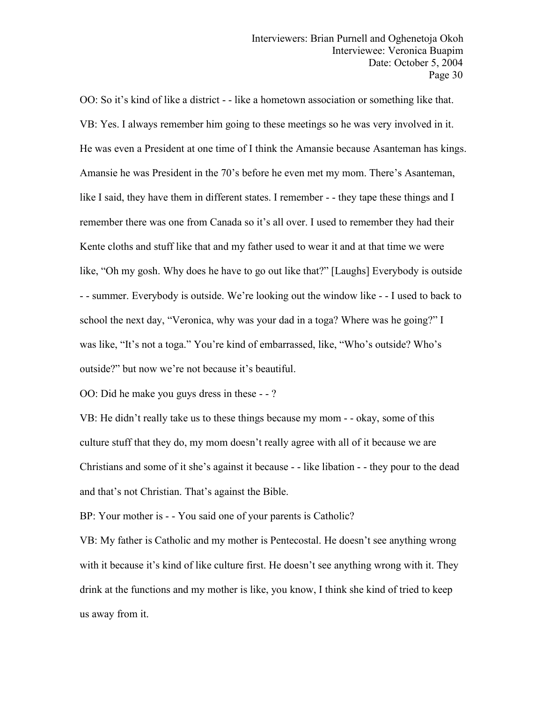OO: So it's kind of like a district - - like a hometown association or something like that. VB: Yes. I always remember him going to these meetings so he was very involved in it. He was even a President at one time of I think the Amansie because Asanteman has kings. Amansie he was President in the 70's before he even met my mom. There's Asanteman, like I said, they have them in different states. I remember - - they tape these things and I remember there was one from Canada so it's all over. I used to remember they had their Kente cloths and stuff like that and my father used to wear it and at that time we were like, "Oh my gosh. Why does he have to go out like that?" [Laughs] Everybody is outside - - summer. Everybody is outside. We're looking out the window like - - I used to back to school the next day, "Veronica, why was your dad in a toga? Where was he going?" I was like, "It's not a toga." You're kind of embarrassed, like, "Who's outside? Who's outside?" but now we're not because it's beautiful.

OO: Did he make you guys dress in these - -?

VB: He didn't really take us to these things because my mom - - okay, some of this culture stuffthat they do, my mom doesn't really agree with all of it because we are Christians and some of itshe's against it because - - like libation - - they pour to the dead and that's not Christian. That's against the Bible.

BP: Your mother is - - You said one of your parents is Catholic?

VB: My father is Catholic and my mother is Pentecostal. He doesn't see anything wrong with it because it's kind of like culture first. He doesn't see anything wrong with it. They drink at the functions and my mother is like, you know, I think she kind of tried to keep us away from it.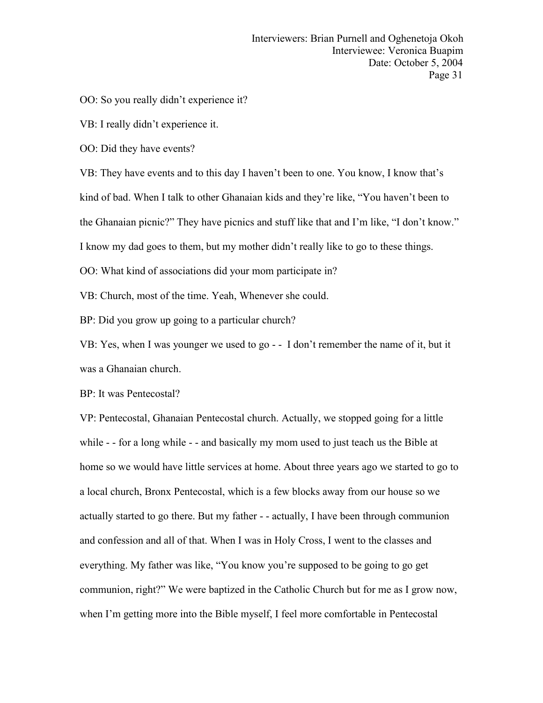OO: So you really didn't experience it?

VB: I really didn't experience it.

OO: Did they have events?

VB: They have events and to this day I haven't been to one. You know, I know that's

kind of bad. When I talk to other Ghanaian kids and they're like, "You haven't been to

the Ghanaian picnic?" They have picnics and stuff like that and I'm like, "I don't know."

I know my dad goes to them, but my mother didn't really like to go to these things.

OO: What kind of associations did your mom participate in?

VB: Church, most of the time. Yeah, Whenever she could.

BP: Did you grow up going to a particular church?

VB: Yes, when I was younger we used to go - - I don't remember the name of it, but it was a Ghanaian church.

BP: It was Pentecostal?

VP: Pentecostal, Ghanaian Pentecostal church. Actually, we stopped going for a little while - - for a long while - - and basically my mom used to just teach us the Bible at home so we would have little services at home. About three years ago we started to go to a local church, Bronx Pentecostal, which is a few blocks away from our house sowe actually started to go there. But my father - - actually, I have been through communion and confession and all of that. When I was in Holy Cross, I went to the classes and everything. My father was like, "You know you're supposed to be going to go get communion, right?" We were baptized in the Catholic Church but for me as I grow now, when I'm getting more into the Bible myself, I feel more comfortable in Pentecostal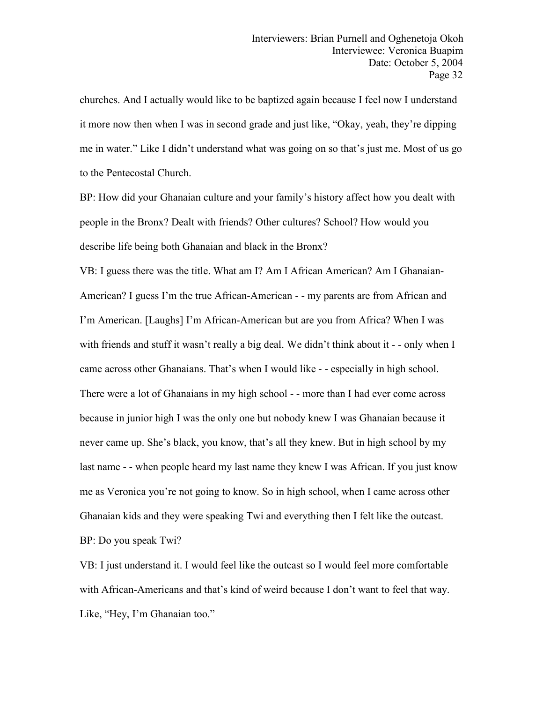churches. And I actually would like to be baptized again because I feel now I understand it more now then when I was in second grade and just like, "Okay, yeah, they're dipping me in water." Like I didn't understand what was going on so that's just me. Most of us go to the Pentecostal Church.

BP: How did your Ghanaian culture and your family's history affect how you dealt with people in the Bronx? Dealt with friends? Other cultures? School? How would you describe life being both Ghanaian and black in the Bronx?

VB: I guess there was the title. What am I? Am I African American? Am I Ghanaian-American? I guess I'm the true African-American - - my parents are from African and I'm American. [Laughs] I'm African-American but are you from Africa? When I was with friends and stuff it wasn't really a big deal. We didn't think about it - - only when I came across other Ghanaians. That's when I would like - - especially in high school. There were a lot of Ghanaians in my high school - - more than I had ever come across because in junior high I was the only one but nobody knew I was Ghanaian because it never came up. She's black, you know, that's all they knew. But in high school by my last name - - when people heard my last name they knew I was African. If you just know me asVeronica you're not going to know. So in high school, when I came across other Ghanaian kids and they were speaking Twi and everything then I felt like the outcast. BP: Do you speak Twi?

VB: I just understand it. I would feel like the outcast so I would feel more comfortable with African-Americans and that's kind of weird because I don't want to feel that way. Like, "Hey, I'm Ghanaian too."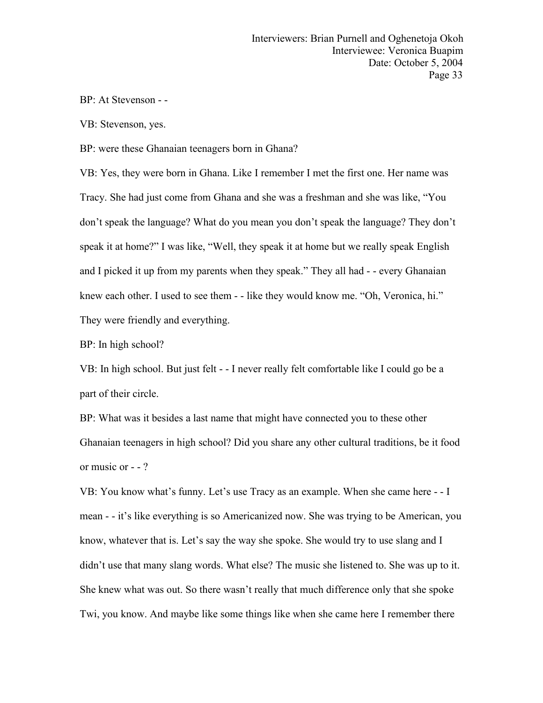BP: At Stevenson - -

VB: Stevenson, yes.

BP: were these Ghanaian teenagers born in Ghana?

VB: Yes, they were born in Ghana. Like I remember I met the first one. Her name was Tracy. She had just come from Ghana and she was a freshman and she was like, "You don't speak the language? What do you mean you don't speak the language? They don't speak it at home?" I was like, "Well, they speak it at home but we really speak English and I picked it up from my parents when they speak." They all had - - every Ghanaian knew each other. I used to see them - - like they would know me. "Oh, Veronica, hi." They were friendly and everything.

BP: In high school?

VB: In high school. But just felt - - I never really felt comfortable like I could go be a part of their circle.

BP: What was it besides a last name that might have connected you to these other Ghanaian teenagers in high school? Did you share any other cultural traditions, be it food or music or - - ?

VB: You know what's funny. Let's use Tracy as an example. When she came here - - I mean - - it's like everything is so Americanized now. She was trying to be American, you know, whatever that is. Let's say the way she spoke. She would try to use slang and I didn't use that many slang words. What else? The music she listened to. She was up to it. She knew what was out. So there wasn't really that much difference only that she spoke Twi, you know. And maybe like some things like when she came here I remember there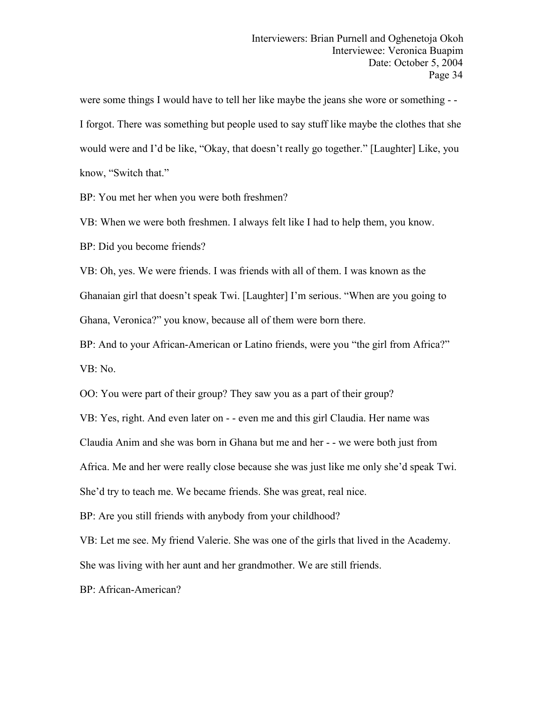were some things I would have to tell her like maybe the jeans she wore or something - - I forgot. There was something but people used to say stuff like maybe the clothes that she would were and I'd be like, "Okay, that doesn't really go together." [Laughter] Like, you know, "Switch that."

BP: You met her when you were both freshmen?

VB: When we were both freshmen. I always felt like I had to help them, you know.

BP: Did you become friends?

VB: Oh, yes. We were friends. I was friends with all of them. I was known as the Ghanaian girl that doesn't speak Twi. [Laughter] I'm serious. "When are you going to Ghana, Veronica?" you know, because all of them were born there.

BP: And to your African-American or Latino friends, were you "the girl from Africa?" VB: No.

OO: You were part of their group? They saw you as a part of their group?

VB: Yes, right. And even later on - - even me and this girl Claudia. Her name was

Claudia Anim and she was born in Ghana but me and her - - we were both just from

Africa. Me and her were really close because she was just like me only she'd speak Twi.

She'd try to teach me. We became friends. She was great, real nice.

BP: Are you still friends with anybody from your childhood?

VB: Let me see. My friend Valerie. She was one of the girls that lived in the Academy.

She was living with her aunt and her grandmother. We are still friends.

BP: African-American?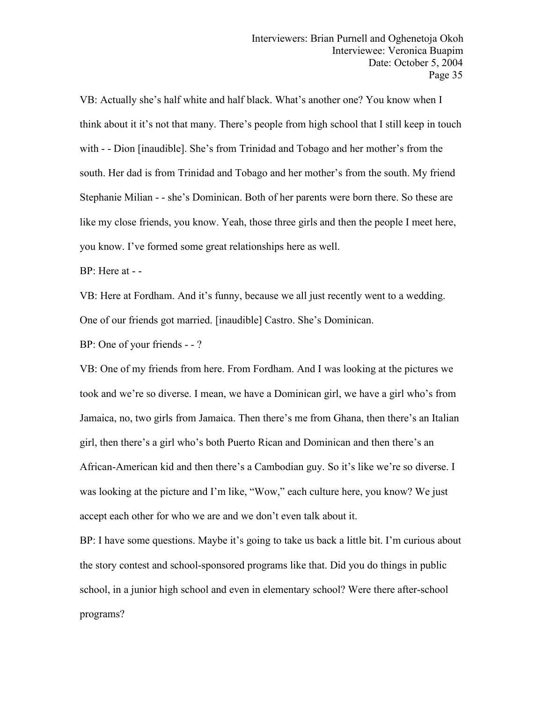VB: Actually she's half white and half black. What's another one? You know when I think about it it's not that many. There's people from high school that I still keep in touch with - - Dion [inaudible]. She's from Trinidad and Tobago and her mother's from the south. Her dad is from Trinidad and Tobago and hermother's from the south. My friend Stephanie Milian - - she's Dominican. Both of her parents were born there. So these are like my close friends, you know. Yeah, those three girls and then the people I meet here, you know. I've formed some great relationships here as well.

BP: Here at - -

VB: Here at Fordham. And it's funny, because we all just recently went to a wedding. One of our friends got married. [inaudible] Castro. She's Dominican.

BP: One of your friends - - ?

VB: One of my friends from here. From Fordham. And I was looking at the pictures we took and we're so diverse. I mean, we have a Dominican girl, we have a girl who's from Jamaica, no, two girls from Jamaica. Then there's me from Ghana, then there's an Italian girl, then there's a girl who's both Puerto Rican and Dominican and then there's an African-American kid and then there's a Cambodian guy. So it's like we're so diverse. I was looking at the picture and I'm like, "Wow," each culture here, you know? We just accept each other for who we are and we don't even talk about it.

BP: I have some questions. Maybe it's going to take us back a little bit. I'm curious about the story contest and school-sponsored programs like that. Did you do things in public school, in a junior high school and even in elementary school? Were there after-school programs?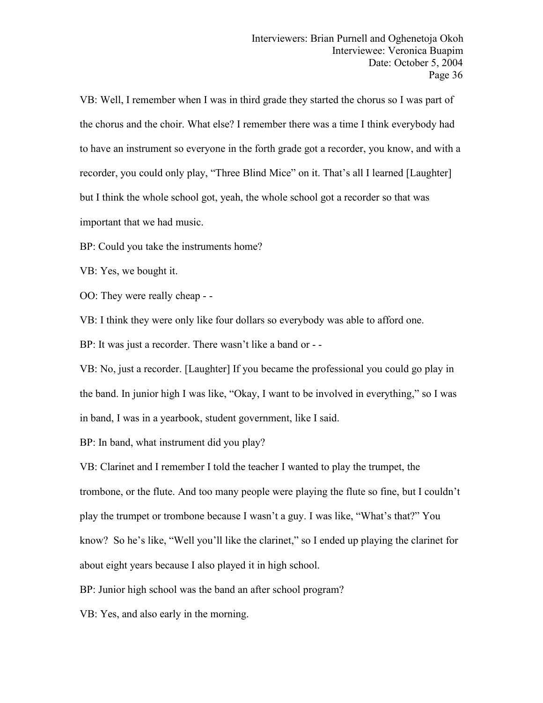VB: Well, I remember when I was in third grade they started the chorus so I was partof the chorus and the choir. What else? I remember there was a time I think everybody had to have an instrument so everyone in the forth grade got a recorder, you know, and with a recorder, you could only play, "Three Blind Mice" on it. That's all I learned [Laughter] but I think the whole school got, yeah, the whole school got a recorder so that was important that we had music.

BP: Could you take the instruments home?

VB: Yes, we bought it.

OO: They were really cheap --

VB: I think they were only like four dollars so everybody was able to afford one.

BP: It was just a recorder. There wasn't like a band or - -

VB: No, just a recorder. [Laughter] If you became the professional you could go play in the band. In junior high I was like, "Okay, I want to be involved in everything," so I was in band, I was in a yearbook, student government, like I said.

BP: In band, what instrument did you play?

VB: Clarinet and I remember I told the teacher I wanted to play the trumpet, the trombone, or the flute. And too many people were playing the flute so fine, but I couldn't play the trumpet or trombone because I wasn't a guy. I was like, "What's that?" You know? So he's like, "Well you'll like the clarinet," so I ended up playing the clarinet for about eight years because I also played it in high school.

BP: Junior high school was the band an after school program?

VB: Yes, and also early in the morning.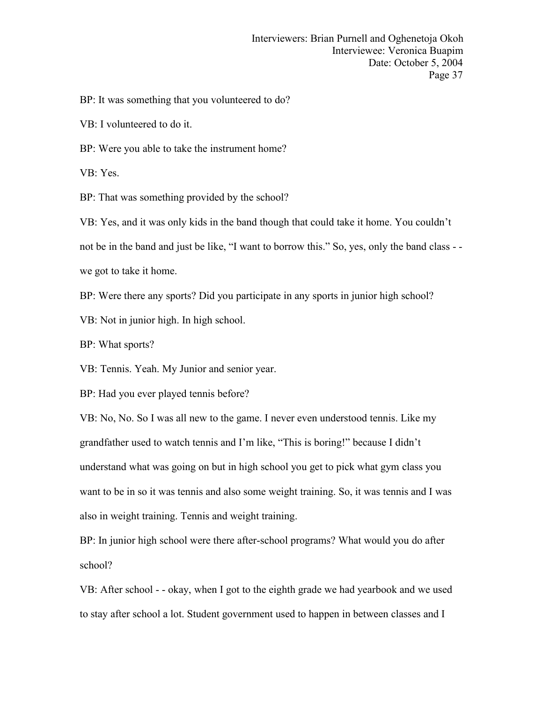BP: It was something that you volunteered to do?

VB: I volunteered to do it.

BP: Were you able to take the instrument home?

VB: Yes.

BP: That was something provided by the school?

VB: Yes, and it was only kids in the band though that could take it home. You couldn't not be in the band and just be like, "I want to borrow this." So, yes, only the band class - we got to take it home.

BP: Were there any sports? Did you participate in any sports in junior high school?

VB: Not in junior high. In high school.

BP: What sports?

VB: Tennis. Yeah. My Junior and senior year.

BP: Had you ever played tennis before?

VB: No, No. So I was all new to the game. I never even understood tennis. Like my grandfather used to watch tennis and I'm like, "This is boring!" because I didn't understand what was going on but in high school you get to pick what gym class you want to be in so it was tennis and also some weight training. So, it was tennis and I was also in weight training. Tennis and weight training.

BP: In junior high school were there after-school programs? What would you do after school?

VB: After school - - okay, when I got to the eighth grade we had yearbook and we used to stay after school a lot. Student government used to happen in between classes and I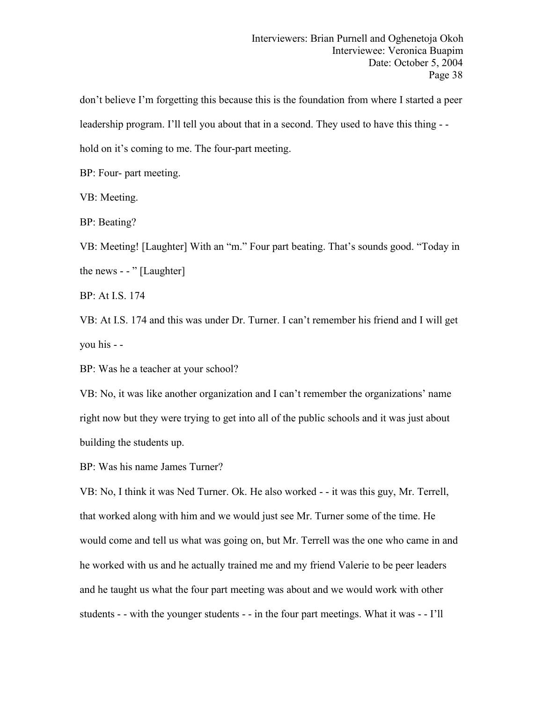don't believe I'm forgetting this because this is the foundation from where I started a peer leadership program. I'll tell you about that in a second. They used to have this thing -hold on it's coming to me. The four-part meeting.

BP: Four- part meeting.

VB: Meeting.

BP: Beating?

VB: Meeting! [Laughter] With an "m." Four part beating. That's sounds good. "Today in the news - - " [Laughter]

BP: At I.S. 174

VB: At I.S. 174 and this was under Dr.Turner. I can't remember his friend and I will get you his - -

BP: Was he a teacher at your school?

VB: No, it was like another organization and I can't remember the organizations' name right now but they were trying to get into all of the public schools and it was just about building the students up.

BP: Was his name James Turner?

VB: No, I think it was Ned Turner. Ok. He also worked - - it was this guy, Mr. Terrell, that worked along with him and we would just see Mr. Turner some of the time. He would come and tell us what was going on, but Mr. Terrell was the one who came in and he worked with us and he actually trained me and my friend Valerie to be peer leaders and he taught us what the four part meeting was about and we would work with other students - - with the younger students - - in the four part meetings. What it was - - I'll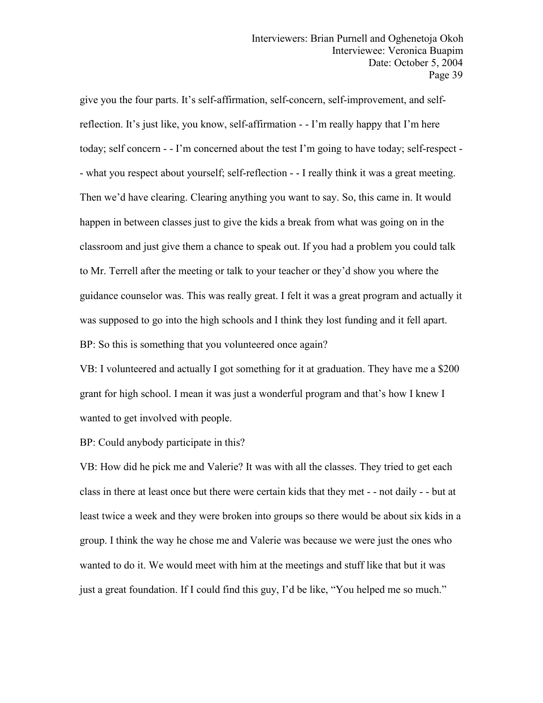give you the four parts. It's self-affirmation, self-concern, self-improvement, and selfreflection. It's just like, you know, self-affirmation - - I'm really happy that I'm here today; self concern - - I'm concerned about the test I'm going to have today; self-respect - - what you respect about yourself; self-reflection - - I really think it was a great meeting. Then we'd have clearing. Clearing anything you want to say. So, this came in. It would happen in between classes just to give the kids a break from what was going on in the classroom and just give them a chance to speak out. If you had a problem you could talk to Mr. Terrell after the meeting or talk to your teacher or they'd show you where the guidance counselor was. This was really great. I felt it was a great program and actually it was supposed to go into the high schools and I think they lost funding and it fell apart. BP: So this is something that you volunteered once again?

VB: I volunteered and actually I got something for it at graduation. They have me a \$200 grant for high school. I mean it was just a wonderful program and that's how I knew I wanted to get involved with people.

BP: Could anybody participate in this?

VB: How did he pick me and Valerie? It was with all the classes. They tried to get each class in there at least once but there were certain kids that they met - - not daily - - but at least twice a week and they were broken into groups so there would be about six kids in a group. I think the way he chose me and Valerie was because we were just the ones who wanted to do it. We would meet with him at the meetings and stuff like that but it was just a great foundation. If I could find this guy, I'd be like, "You helped me so much."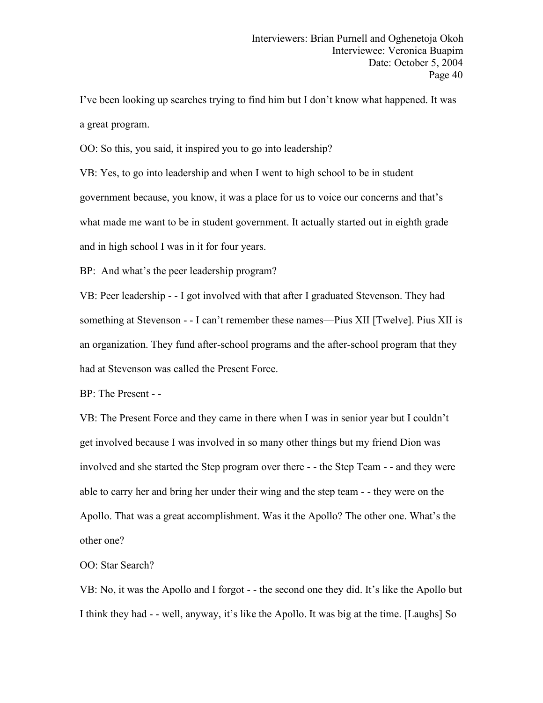I've been looking up searches trying to find him but I don't know what happened. It was a great program.

OO: So this, you said, it inspired you to go into leadership?

VB: Yes, to go into leadership and when I went to high school to be in student government because, you know, it was a place for us to voice our concerns and that's what made me want to be in student government. It actually started out in eighth grade and in high school I was in it for four years.

BP: And what's the peer leadership program?

VB: Peer leadership - - I got involved with that after I graduated Stevenson. They had something at Stevenson - - I can't remember these names—Pius XII [Twelve]. Pius XII is an organization. They fund after-school programs and the after-school program that they had at Stevenson was called the Present Force.

BP: The Present- -

VB: The Present Force and they came in there when I was in senior year but I couldn't get involved because I was involved in so many other things but my friend Dion was involved and she started the Step program over there - - the Step Team -- and they were able to carry her and bring her under their wing and the step team - - they were on the Apollo. That was a great accomplishment. Was it the Apollo? The other one. What's the other one?

OO: Star Search?

VB: No, it was the Apollo and I forgot - - the second one they did. It's like the Apollo but I think they had - - well, anyway, it's like the Apollo. It was big at the time.[Laughs] So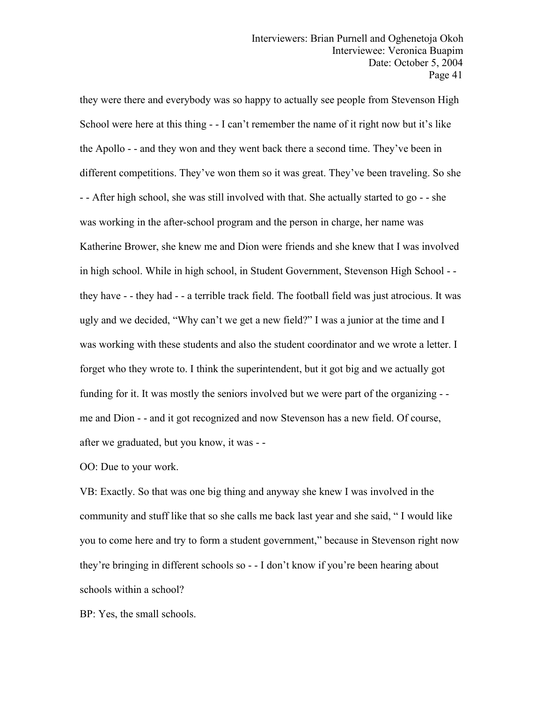they were there and everybody was so happy to actually see people from Stevenson High School were here at this thing - - I can't remember the name of it right now but it's like the Apollo - - and they won and they went back there a second time. They've been in different competitions. They've won them so it was great. They've been traveling. So she - - After high school, she was still involved with that. She actually started to go - - she was working in the after-school program and the person in charge, her name was Katherine Brower, she knew me and Dion were friends and she knew that I was involved in high school. While in high school, in Student Government, Stevenson High School - they have - - they had - - a terrible track field. The football field was just atrocious. It was ugly and we decided, "Why can't we get a new field?" I was a junior at the time and I was working with these students and also the student coordinator and we wrote a letter. I forget who they wrote to. I think the superintendent, but it got big and we actually got funding for it. It was mostly the seniors involved but we were part of the organizing - me and Dion - - and it got recognized and now Stevenson has a new field. Of course, after we graduated, but you know, it was - -

OO: Due to your work.

VB: Exactly. So that was one big thing and anyway she knew I was involved in the community and stuff like that so she calls me back last year and she said, " I would like you to come here and try to form a student government," because in Stevenson right now they're bringing in different schools so - - I don't know if you're been hearing about schools within a school?

BP: Yes, the small schools.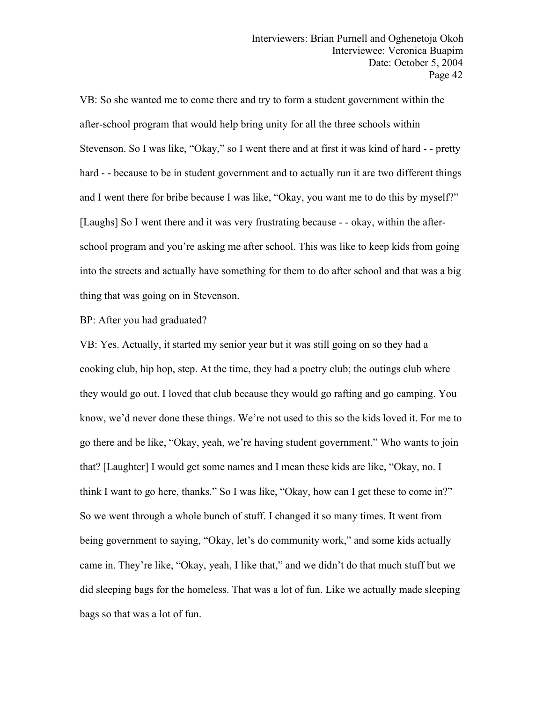VB: So she wanted me to come there and try to form a student government within the after-school program that would help bring unity for all the three schools within Stevenson. So I was like, "Okay," so I went there and at first it was kind of hard - - pretty hard - - because to be in student government and to actually run it are two different things and I went there for bribe because I was like, "Okay, you want me to do this by myself?" [Laughs] So I went there and it was very frustrating because - - okay, within the afterschool program and you're asking me after school. This was like to keep kids from going into the streets and actually have something for them to do after school and that was a big thing that was going on in Stevenson.

BP: After you had graduated?

VB: Yes. Actually, it started my senior year but it was still going on so they had a cooking club, hip hop, step. At the time, they had a poetry club; the outings club where they would go out. I loved that club because they would go rafting and go camping. You know, we'd never done these things. We're not used to this so the kids loved it. For me to go there and be like, "Okay, yeah, we're having student government." Who wants to join that? [Laughter] I would get some names and I mean these kids are like, "Okay, no. I think I want to go here, thanks." So I was like, "Okay, how can I get these to come in?" So we went through a whole bunch of stuff. I changed it so many times. It went from being government to saying, "Okay, let's do community work," and some kids actually came in. They're like, "Okay, yeah, I like that," and we didn't do that much stuff but we did sleeping bags for the homeless. That was a lot of fun. Like we actually made sleeping bags so that was a lot of fun.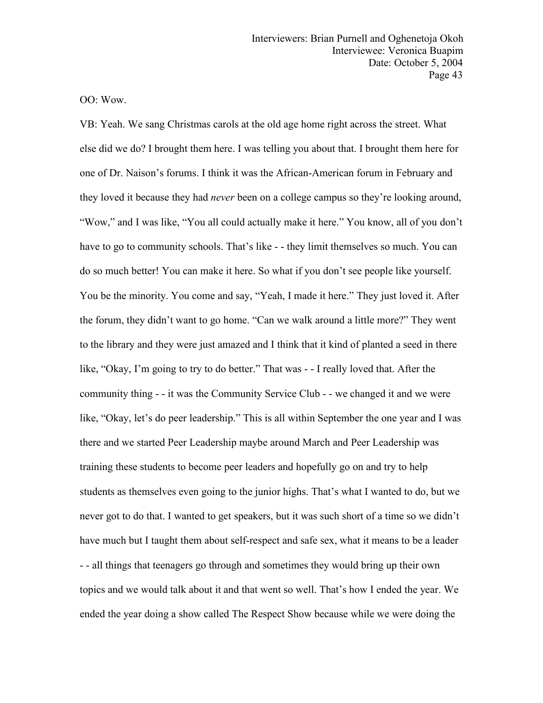## OO: Wow.

VB: Yeah. We sang Christmas carols at the old age home right across the street. What else did we do? I brought them here. I was telling you about that. I brought them here for one of Dr.Naison's forums. I think it was the African-American forum in February and they loved it because they had *never* been on a college campus so they're looking around, "Wow," and I was like, "You all could actually make it here." You know, all of you don't have to go to community schools. That's like - - they limit themselves so much. You can do so much better! You can make it here. So what if you don't see people like yourself. You be the minority. You come and say, "Yeah, I made it here." They just loved it. After the forum, they didn't want to go home. "Can we walk around a little more?" They went to the library and they were just amazed and I think that it kind of planted a seed in there like, "Okay, I'm going to try to do better." That was - - I really loved that. After the community thing - - itwas the Community Service Club - - we changed it and we were like, "Okay, let's do peer leadership." This is all within September the one year and I was there and we started Peer Leadership maybe around March and Peer Leadership was training these students to become peer leaders and hopefully go on and try to help students as themselves even going to the junior highs. That's what I wanted to do, but we never got to do that. I wanted to get speakers, but it was such short of a time so we didn't have much but I taught them about self-respect and safe sex, what it means to be a leader - - all things that teenagers go through and sometimes they would bring up their own topics and we would talk about it and that went so well. That's how I ended the year. We ended the year doing a show called The Respect Show because while we were doing the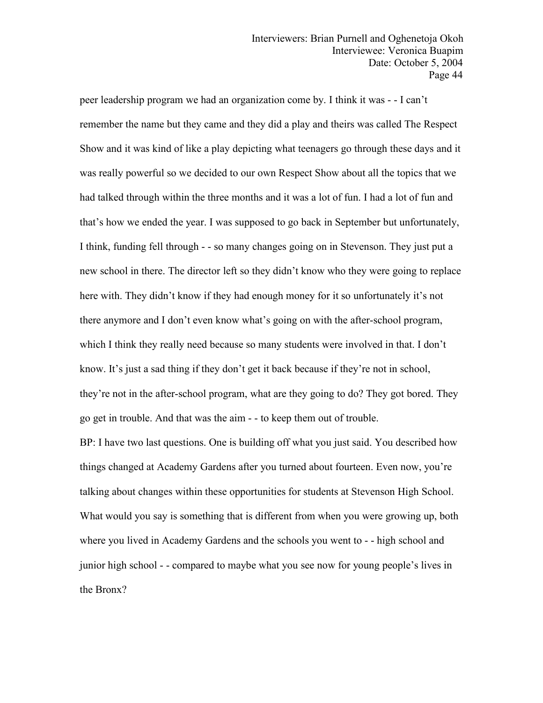peer leadership program we had an organization come by. Ithink it was -- I can't remember the name but they came and they did a play and theirs was called The Respect Show and it was kind of like a play depicting what teenagers go through these days and it was really powerful so we decided to our own Respect Show about all the topics that we had talked through within the three months and it was a lot of fun. I had a lot of fun and that's how we ended the year. I was supposed to go back in September but unfortunately, I think, funding fell through - - so many changes going on in Stevenson. They just put a new school in there. The director left so they didn't know who they were going to replace here with. They didn't know if they had enough money for it so unfortunately it's not there anymore and I don't even know what's going on with the after-school program, which I think they really need because so many students were involved in that. I don't know. It's just a sad thing if they don't get it back because if they're not in school, they're not in the after-school program, what are they going to do? They got bored. They go get in trouble. And that was the aim - - to keep them out of trouble.

BP: I have two last questions. One is building off what you just said. You described how things changed at Academy Gardens after you turned about fourteen. Even now, you're talking about changes within these opportunities for students at Stevenson High School. What would you say is something that is different from when you were growing up, both where you lived in Academy Gardens and the schools you went to - - high school and junior high school - - compared to maybe what you see now for young people's lives in the Bronx?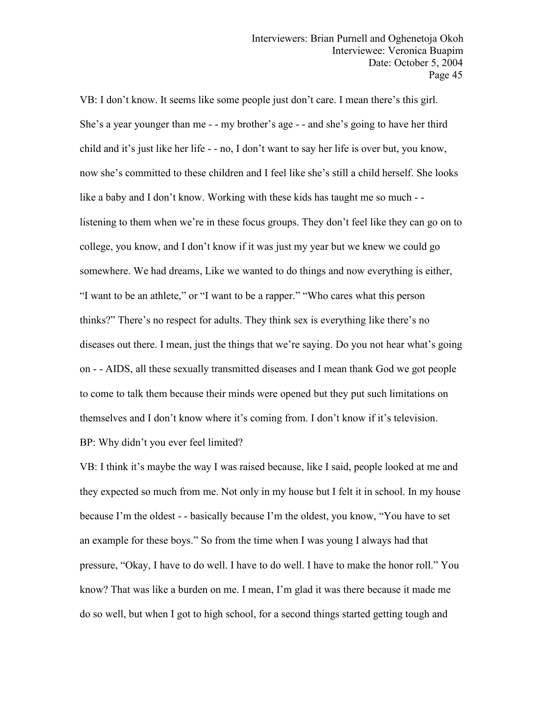VB: I don't know. It seems like some people just don't care. I mean there's this girl. She's a year younger than me - - my brother's age - - and she's going to have her third child and it's just like her life - - no, I don't want to say her life is over but, you know, now she's committed to these children and I feel like she's still a child herself. She looks like a baby and I don't know. Working with these kids has taught me so much - listening to them when we're in these focus groups. They don't feel like they can go on to college, you know, and I don't know if it was just my year but we knew we could go somewhere. We had dreams, Like we wanted to do things and now everything is either, "I want to be an athlete," or "Iwant to be a rapper." "Who cares what this person thinks?" There's no respect for adults. They think sex is everything like there's no diseases out there. I mean, just the things that we're saying. Do you not hear what's going on - - AIDS, all these sexually transmitted diseases and I mean thank God we got people to come to talk them because their minds were opened but they put such limitations on themselves and I don't know where it's coming from. I don't know if it's television. BP: Why didn't you ever feel limited?

VB: I think it's maybe the way I was raised because, like I said, people looked at me and they expected so much from me. Not only in my house but I felt it in school. In my house because I'm the oldest - - basically because I'm the oldest, you know, "You have to set an example for these boys." So from the time when I was young I always had that pressure, "Okay, I have to do well. I have to do well. I have to make the honor roll." You know? That was like a burden on me. I mean, I'm glad it was there because it made me do so well, but when I got to high school, for a second things started getting tough and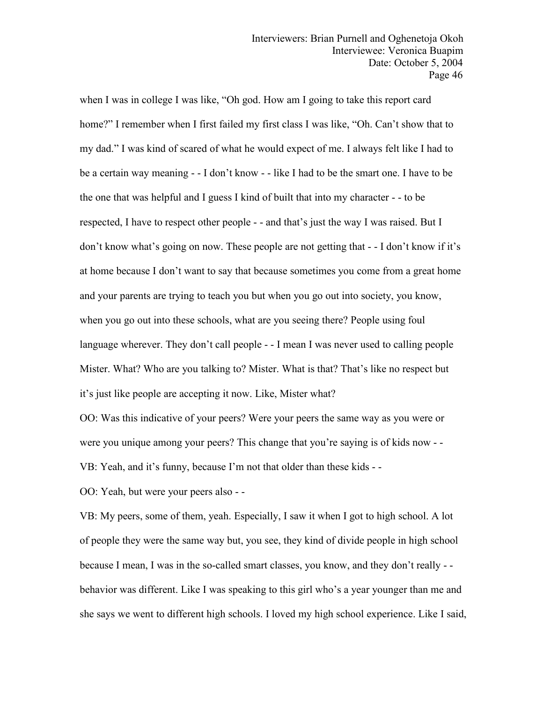when I was in college I was like, "Oh god. How am I going to take this report card home?" I remember when I first failed my first class I was like, "Oh. Can't show that to my dad." I was kind of scared of what he would expect of me. I always felt like I had to be a certain way meaning - - I don't know - - like I had to be the smart one. I have to be the one that was helpful and I guess I kind of built that into my character - - to be respected, I have to respect other people - - and that's just the way I was raised. But I don't know what's going on now. These people are not getting that - - I don't know if it's at home because I don't want to say that because sometimes you come from a great home and your parents are trying to teach you but when you go out into society, you know, when you go out into these schools, what are you seeing there? People using foul language wherever. They don't call people - - I mean I was never used to calling people Mister. What? Who are you talking to? Mister. What is that? That's like no respect but it's just like people are accepting it now. Like, Mister what?

OO: Was this indicative of your peers? Were your peers the same way as you were or were you unique among your peers? This change that you're saying is of kids now --

VB: Yeah, and it's funny, because I'm not that older than these kids - -

OO: Yeah, but were your peers also - -

VB: My peers, some of them, yeah. Especially, I saw it when I got to high school. A lot of people they were the same way but, you see, they kind of divide people in high school because I mean, I was in the so-called smart classes, you know, and they don't really - behavior was different. Like I was speaking to this girl who's a year younger than me and she says we went to different high schools. I loved my high school experience. Like I said,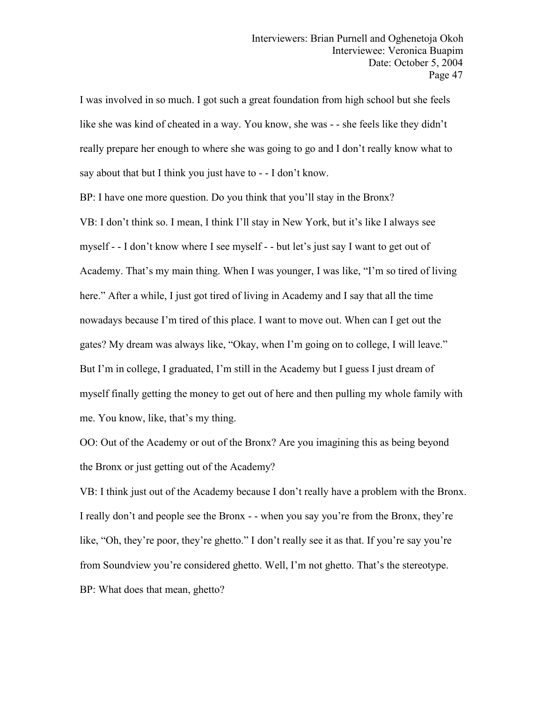I was involved in so much. I got such a great foundation from high school but she feels like she was kind of cheated in a way. You know, she was - - she feels like they didn't really prepare her enough to where she was going to go and I don't really know what to say about that but I think you just have to - - I don't know.

BP: I have one more question. Do you think that you'll stay in the Bronx? VB: I don't think so. I mean, I think I'll stay in New York, but it's like I always see myself - - I don't know where I see myself - - but let's just say I want to get out of Academy. That's my main thing. When I was younger, I was like, "I'm so tired of living here." After a while, I just got tired of living in Academy and I say that all the time nowadays because I'm tired of this place.I want to move out. When can I get out the gates? My dream was always like, "Okay, when I'm going on to college, I will leave." But I'm in college, I graduated, I'm still in the Academy but I guess I just dream of myself finally getting the money to get out of here and then pulling my whole family with me. You know, like, that's my thing.

OO: Out of the Academy or out of the Bronx? Are you imagining this as being beyond the Bronx or just getting out of the Academy?

VB: I think just out of the Academy because I don't really have a problem with the Bronx. I really don't and people see the Bronx - - when you say you're from the Bronx, they're like, "Oh, they're poor, they're ghetto." I don't really see it as that. If you're say you're from Soundview you're considered ghetto. Well, I'm not ghetto. That's the stereotype. BP: What does that mean, ghetto?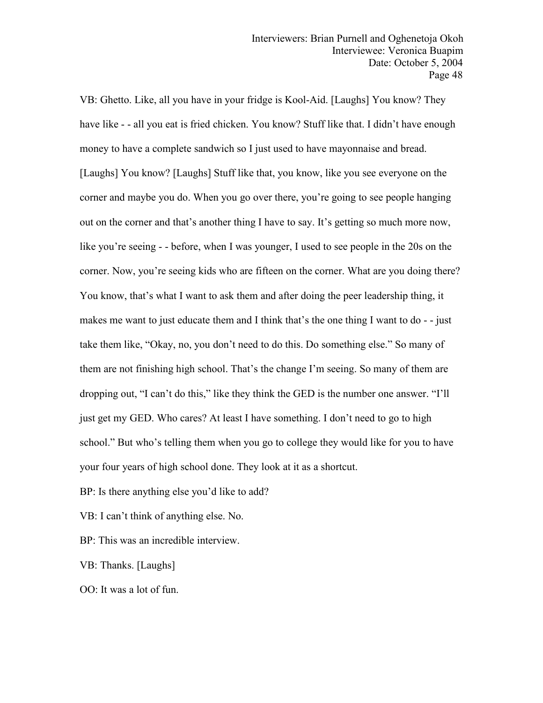VB: Ghetto. Like, all you have in your fridge is Kool-Aid. [Laughs] You know? They have like - - all you eat is fried chicken. You know? Stuff like that. I didn't have enough money to have a complete sandwich so I just used to have mayonnaise and bread. [Laughs] You know? [Laughs] Stuff like that, you know, like you see everyone on the corner and maybe you do. When you go over there, you're going to see people hanging out on the corner and that's another thing I have to say. It's getting so much more now, like you're seeing - - before, when I was younger, I used to see people in the 20s on the corner. Now, you're seeing kids who are fifteen on the corner. What are you doing there? You know, that's what I want to ask them and after doing the peer leadership thing, it makes me want to just educate them and I think that's the one thing I want to do - - just take them like, "Okay, no, you don't need to do this. Do something else." So many of them are not finishing high school. That's the change I'm seeing. So many of them are dropping out, "I can't do this," like they think the GED is the number one answer. "I'll just get my GED. Who cares? At least I have something. I don't need to go to high school." But who's telling them when you go to college they would like for you to have your four years of high school done. They look at it as a shortcut.

BP: Is there anything else you'd like to add?

VB: I can't think of anything else. No.

BP: This was an incredible interview.

VB: Thanks. [Laughs]

OO: It was a lot of fun.